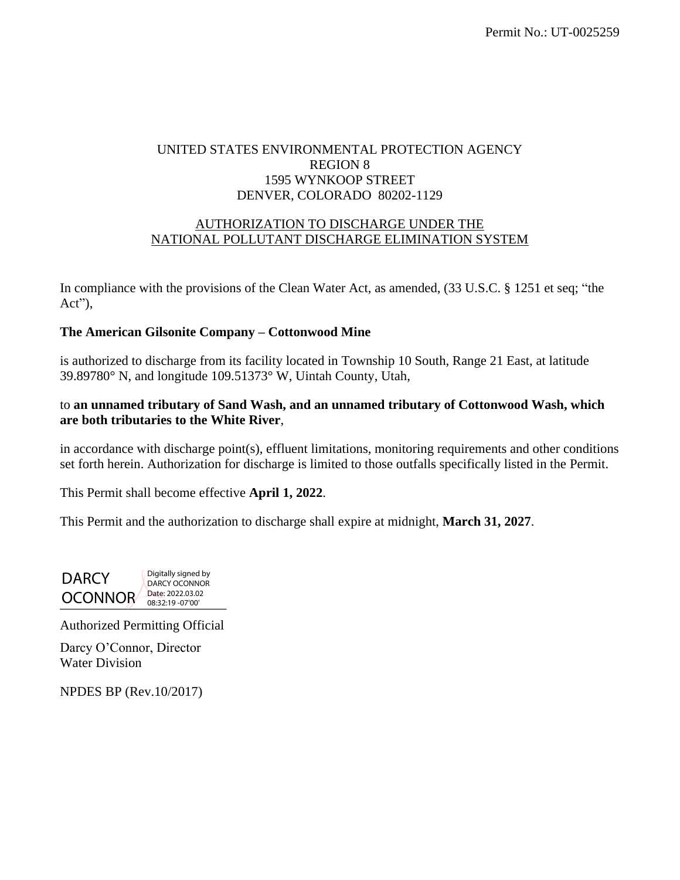# UNITED STATES ENVIRONMENTAL PROTECTION AGENCY REGION 8 1595 WYNKOOP STREET DENVER, COLORADO 80202-1129

# AUTHORIZATION TO DISCHARGE UNDER THE NATIONAL POLLUTANT DISCHARGE ELIMINATION SYSTEM

In compliance with the provisions of the Clean Water Act, as amended, (33 U.S.C. § 1251 et seq; "the Act"),

# **The American Gilsonite Company – Cottonwood Mine**

is authorized to discharge from its facility located in Township 10 South, Range 21 East, at latitude 39.89780° N, and longitude 109.51373° W, Uintah County, Utah,

# to **an unnamed tributary of Sand Wash, and an unnamed tributary of Cottonwood Wash, which are both tributaries to the White River**,

in accordance with discharge point(s), effluent limitations, monitoring requirements and other conditions set forth herein. Authorization for discharge is limited to those outfalls specifically listed in the Permit.

This Permit shall become effective **April 1, 2022**.

This Permit and the authorization to discharge shall expire at midnight, **March 31, 2027**.

OCONNOR Date: 2022.03.02 DARCY Digitally signed by DARCY OCONNOR<br>Date: 2022.03.02 08:32:19 -07'00'

Authorized Permitting Official

Darcy O'Connor, Director Water Division

NPDES BP (Rev.10/2017)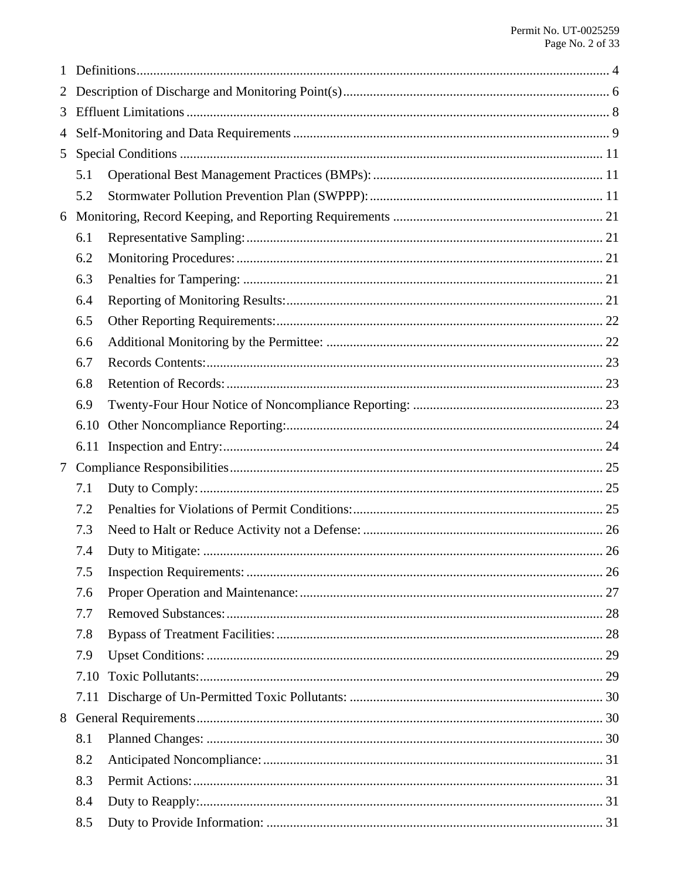| 1 |      |  |  |  |
|---|------|--|--|--|
|   |      |  |  |  |
| 3 |      |  |  |  |
| 4 |      |  |  |  |
| 5 |      |  |  |  |
|   | 5.1  |  |  |  |
|   | 5.2  |  |  |  |
| 6 |      |  |  |  |
|   | 6.1  |  |  |  |
|   | 6.2  |  |  |  |
|   | 6.3  |  |  |  |
|   | 6.4  |  |  |  |
|   | 6.5  |  |  |  |
|   | 6.6  |  |  |  |
|   | 6.7  |  |  |  |
|   | 6.8  |  |  |  |
|   | 6.9  |  |  |  |
|   | 6.10 |  |  |  |
|   | 6.11 |  |  |  |
| 7 |      |  |  |  |
|   | 7.1  |  |  |  |
|   | 7.2  |  |  |  |
|   | 7.3  |  |  |  |
|   | 7.4  |  |  |  |
|   | 7.5  |  |  |  |
|   | 7.6  |  |  |  |
|   | 7.7  |  |  |  |
|   | 7.8  |  |  |  |
|   | 7.9  |  |  |  |
|   | 7.10 |  |  |  |
|   |      |  |  |  |
| 8 |      |  |  |  |
|   | 8.1  |  |  |  |
|   | 8.2  |  |  |  |
|   | 8.3  |  |  |  |
|   | 8.4  |  |  |  |
|   | 8.5  |  |  |  |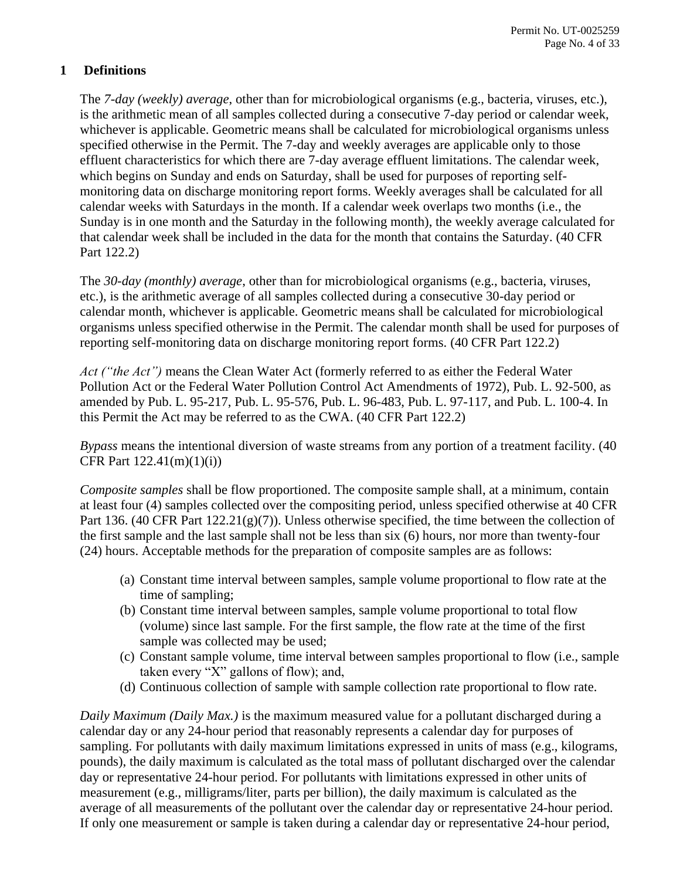# <span id="page-3-0"></span>**1 Definitions**

The *7-day (weekly) average*, other than for microbiological organisms (e.g., bacteria, viruses, etc.), is the arithmetic mean of all samples collected during a consecutive 7-day period or calendar week, whichever is applicable. Geometric means shall be calculated for microbiological organisms unless specified otherwise in the Permit. The 7-day and weekly averages are applicable only to those effluent characteristics for which there are 7-day average effluent limitations. The calendar week, which begins on Sunday and ends on Saturday, shall be used for purposes of reporting selfmonitoring data on discharge monitoring report forms. Weekly averages shall be calculated for all calendar weeks with Saturdays in the month. If a calendar week overlaps two months (i.e., the Sunday is in one month and the Saturday in the following month), the weekly average calculated for that calendar week shall be included in the data for the month that contains the Saturday. (40 CFR Part 122.2)

The *30-day (monthly) average*, other than for microbiological organisms (e.g., bacteria, viruses, etc.), is the arithmetic average of all samples collected during a consecutive 30-day period or calendar month, whichever is applicable. Geometric means shall be calculated for microbiological organisms unless specified otherwise in the Permit. The calendar month shall be used for purposes of reporting self-monitoring data on discharge monitoring report forms. (40 CFR Part 122.2)

*Act ("the Act")* means the Clean Water Act (formerly referred to as either the Federal Water Pollution Act or the Federal Water Pollution Control Act Amendments of 1972), Pub. L. 92-500, as amended by Pub. L. 95-217, Pub. L. 95-576, Pub. L. 96-483, Pub. L. 97-117, and Pub. L. 100-4. In this Permit the Act may be referred to as the CWA. (40 CFR Part 122.2)

*Bypass* means the intentional diversion of waste streams from any portion of a treatment facility. (40 CFR Part 122.41(m)(1)(i))

*Composite samples* shall be flow proportioned. The composite sample shall, at a minimum, contain at least four (4) samples collected over the compositing period, unless specified otherwise at 40 CFR Part 136. (40 CFR Part 122.21(g)(7)). Unless otherwise specified, the time between the collection of the first sample and the last sample shall not be less than six (6) hours, nor more than twenty-four (24) hours. Acceptable methods for the preparation of composite samples are as follows:

- (a) Constant time interval between samples, sample volume proportional to flow rate at the time of sampling;
- (b) Constant time interval between samples, sample volume proportional to total flow (volume) since last sample. For the first sample, the flow rate at the time of the first sample was collected may be used;
- (c) Constant sample volume, time interval between samples proportional to flow (i.e., sample taken every "X" gallons of flow); and,
- (d) Continuous collection of sample with sample collection rate proportional to flow rate.

*Daily Maximum (Daily Max.)* is the maximum measured value for a pollutant discharged during a calendar day or any 24-hour period that reasonably represents a calendar day for purposes of sampling. For pollutants with daily maximum limitations expressed in units of mass (e.g., kilograms, pounds), the daily maximum is calculated as the total mass of pollutant discharged over the calendar day or representative 24-hour period. For pollutants with limitations expressed in other units of measurement (e.g., milligrams/liter, parts per billion), the daily maximum is calculated as the average of all measurements of the pollutant over the calendar day or representative 24-hour period. If only one measurement or sample is taken during a calendar day or representative 24-hour period,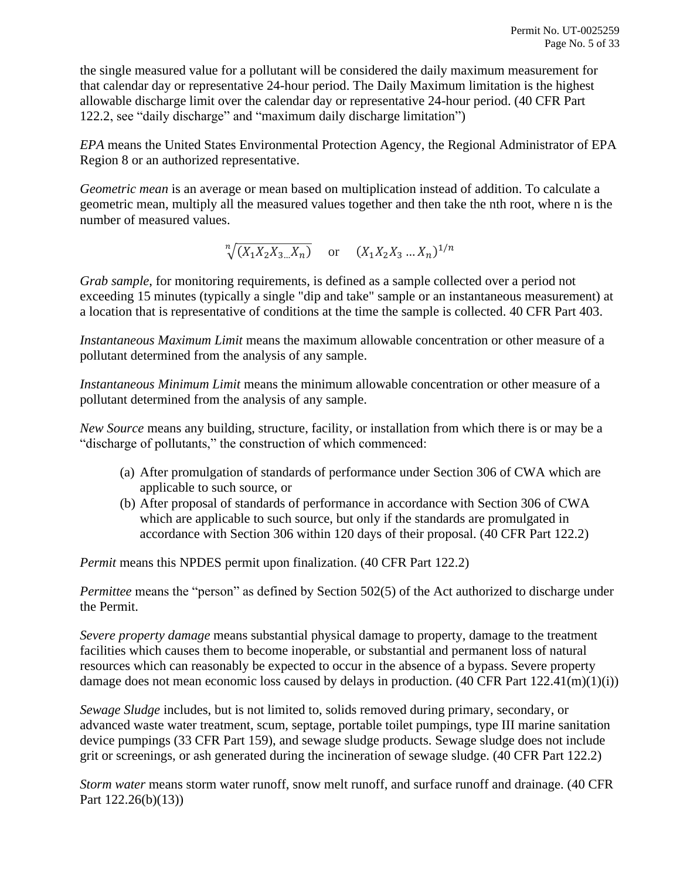the single measured value for a pollutant will be considered the daily maximum measurement for that calendar day or representative 24-hour period. The Daily Maximum limitation is the highest allowable discharge limit over the calendar day or representative 24-hour period. (40 CFR Part 122.2, see "daily discharge" and "maximum daily discharge limitation")

*EPA* means the United States Environmental Protection Agency, the Regional Administrator of EPA Region 8 or an authorized representative.

*Geometric mean* is an average or mean based on multiplication instead of addition. To calculate a geometric mean, multiply all the measured values together and then take the nth root, where n is the number of measured values.

 $\sqrt[n]{(X_1X_2X_3\ldots X_n)}$  or  $(X_1X_2X_3\ldots X_n)^{1/n}$ 

*Grab sample*, for monitoring requirements, is defined as a sample collected over a period not exceeding 15 minutes (typically a single "dip and take" sample or an instantaneous measurement) at a location that is representative of conditions at the time the sample is collected. 40 CFR Part 403.

*Instantaneous Maximum Limit* means the maximum allowable concentration or other measure of a pollutant determined from the analysis of any sample.

*Instantaneous Minimum Limit* means the minimum allowable concentration or other measure of a pollutant determined from the analysis of any sample.

*New Source* means any building, structure, facility, or installation from which there is or may be a "discharge of pollutants," the construction of which commenced:

- (a) After promulgation of standards of performance under Section 306 of CWA which are applicable to such source, or
- (b) After proposal of standards of performance in accordance with Section 306 of CWA which are applicable to such source, but only if the standards are promulgated in accordance with Section 306 within 120 days of their proposal. (40 CFR Part 122.2)

*Permit* means this NPDES permit upon finalization. (40 CFR Part 122.2)

*Permittee* means the "person" as defined by Section 502(5) of the Act authorized to discharge under the Permit.

*Severe property damage* means substantial physical damage to property, damage to the treatment facilities which causes them to become inoperable, or substantial and permanent loss of natural resources which can reasonably be expected to occur in the absence of a bypass. Severe property damage does not mean economic loss caused by delays in production.  $(40 \text{ CFR Part } 122.41 \text{ (m)}(1)(i))$ 

*Sewage Sludge* includes, but is not limited to, solids removed during primary, secondary, or advanced waste water treatment, scum, septage, portable toilet pumpings, type III marine sanitation device pumpings (33 CFR Part 159), and sewage sludge products. Sewage sludge does not include grit or screenings, or ash generated during the incineration of sewage sludge. (40 CFR Part 122.2)

*Storm water* means storm water runoff, snow melt runoff, and surface runoff and drainage. (40 CFR Part 122.26(b)(13))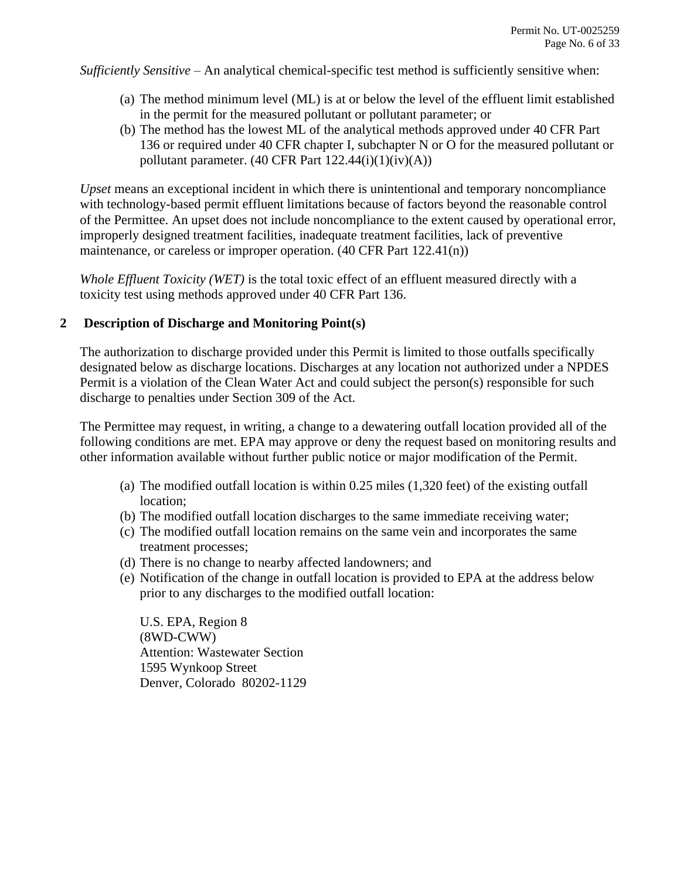*Sufficiently Sensitive* – An analytical chemical-specific test method is sufficiently sensitive when:

- (a) The method minimum level (ML) is at or below the level of the effluent limit established in the permit for the measured pollutant or pollutant parameter; or
- (b) The method has the lowest ML of the analytical methods approved under 40 CFR Part 136 or required under 40 CFR chapter I, subchapter N or O for the measured pollutant or pollutant parameter.  $(40 \text{ CFR Part } 122.44(i)(1)(iv)(A))$

*Upset* means an exceptional incident in which there is unintentional and temporary noncompliance with technology-based permit effluent limitations because of factors beyond the reasonable control of the Permittee. An upset does not include noncompliance to the extent caused by operational error, improperly designed treatment facilities, inadequate treatment facilities, lack of preventive maintenance, or careless or improper operation. (40 CFR Part 122.41(n))

*Whole Effluent Toxicity (WET)* is the total toxic effect of an effluent measured directly with a toxicity test using methods approved under 40 CFR Part 136.

# <span id="page-5-0"></span>**2 Description of Discharge and Monitoring Point(s)**

The authorization to discharge provided under this Permit is limited to those outfalls specifically designated below as discharge locations. Discharges at any location not authorized under a NPDES Permit is a violation of the Clean Water Act and could subject the person(s) responsible for such discharge to penalties under Section 309 of the Act.

The Permittee may request, in writing, a change to a dewatering outfall location provided all of the following conditions are met. EPA may approve or deny the request based on monitoring results and other information available without further public notice or major modification of the Permit.

- (a) The modified outfall location is within 0.25 miles (1,320 feet) of the existing outfall location;
- (b) The modified outfall location discharges to the same immediate receiving water;
- (c) The modified outfall location remains on the same vein and incorporates the same treatment processes;
- (d) There is no change to nearby affected landowners; and
- (e) Notification of the change in outfall location is provided to EPA at the address below prior to any discharges to the modified outfall location:

U.S. EPA, Region 8 (8WD-CWW) Attention: Wastewater Section 1595 Wynkoop Street Denver, Colorado 80202-1129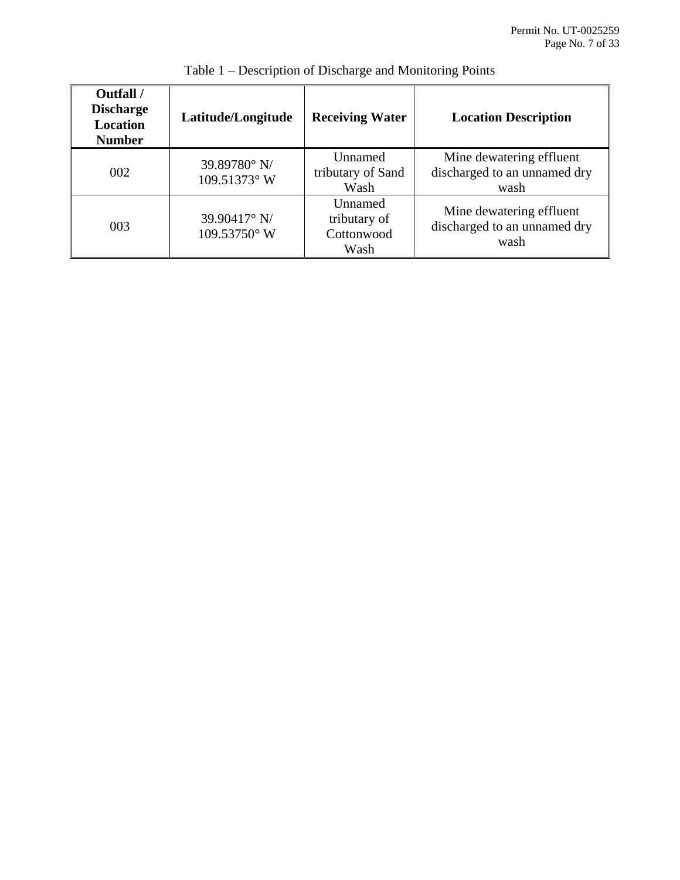<span id="page-6-0"></span>

| Outfall /<br><b>Discharge</b><br>Location<br><b>Number</b> | Latitude/Longitude           | <b>Receiving Water</b>                        | <b>Location Description</b>                                      |
|------------------------------------------------------------|------------------------------|-----------------------------------------------|------------------------------------------------------------------|
| 002                                                        | 39.89780° N/<br>109.51373° W | Unnamed<br>tributary of Sand<br>Wash          | Mine dewatering effluent<br>discharged to an unnamed dry<br>wash |
| 003                                                        | 39.90417° N/<br>109.53750° W | Unnamed<br>tributary of<br>Cottonwood<br>Wash | Mine dewatering effluent<br>discharged to an unnamed dry<br>wash |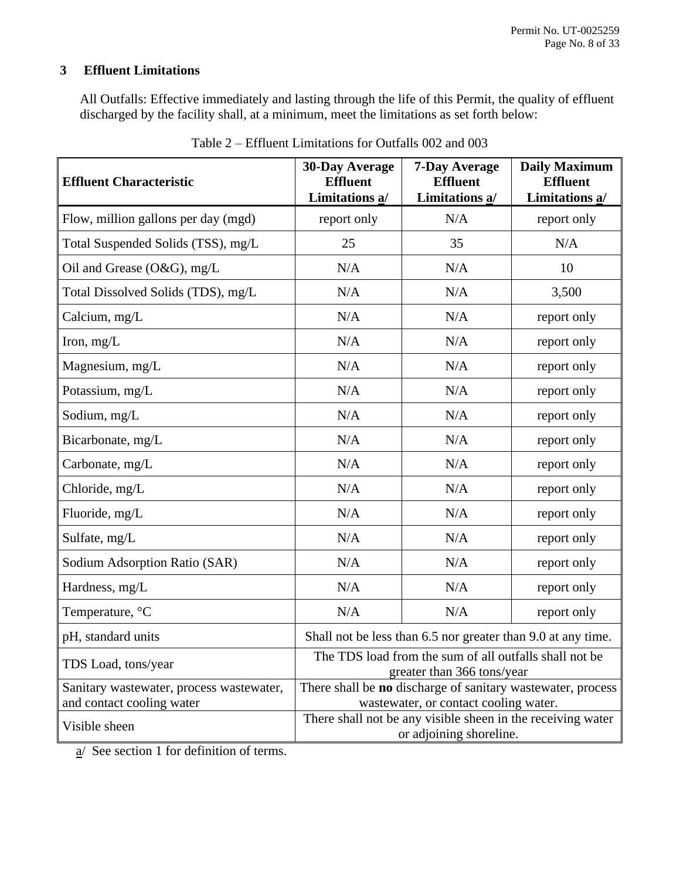# **3 Effluent Limitations**

All Outfalls: Effective immediately and lasting through the life of this Permit, the quality of effluent discharged by the facility shall, at a minimum, meet the limitations as set forth below:

| <b>Effluent Characteristic</b>                                        | <b>30-Day Average</b><br><b>Effluent</b><br>Limitations a/                                           | <b>7-Day Average</b><br><b>Effluent</b><br>Limitations a/                              | <b>Daily Maximum</b><br><b>Effluent</b><br>Limitations a/ |  |
|-----------------------------------------------------------------------|------------------------------------------------------------------------------------------------------|----------------------------------------------------------------------------------------|-----------------------------------------------------------|--|
| Flow, million gallons per day (mgd)                                   | report only                                                                                          | N/A                                                                                    | report only                                               |  |
| Total Suspended Solids (TSS), mg/L                                    | 25                                                                                                   | 35                                                                                     | N/A                                                       |  |
| Oil and Grease (O&G), mg/L                                            | N/A                                                                                                  | N/A                                                                                    | 10                                                        |  |
| Total Dissolved Solids (TDS), mg/L                                    | N/A                                                                                                  | N/A                                                                                    | 3,500                                                     |  |
| Calcium, mg/L                                                         | N/A                                                                                                  | N/A                                                                                    | report only                                               |  |
| Iron, $mg/L$                                                          | N/A                                                                                                  | N/A                                                                                    | report only                                               |  |
| Magnesium, mg/L                                                       | N/A                                                                                                  | N/A                                                                                    | report only                                               |  |
| Potassium, mg/L                                                       | N/A                                                                                                  | N/A                                                                                    | report only                                               |  |
| Sodium, mg/L                                                          | N/A                                                                                                  | N/A                                                                                    | report only                                               |  |
| Bicarbonate, mg/L                                                     | N/A                                                                                                  | N/A                                                                                    | report only                                               |  |
| Carbonate, mg/L                                                       | N/A                                                                                                  | N/A                                                                                    | report only                                               |  |
| Chloride, mg/L                                                        | N/A                                                                                                  | N/A                                                                                    | report only                                               |  |
| Fluoride, mg/L                                                        | N/A                                                                                                  | N/A                                                                                    | report only                                               |  |
| Sulfate, mg/L                                                         | N/A                                                                                                  | N/A                                                                                    | report only                                               |  |
| Sodium Adsorption Ratio (SAR)                                         | N/A                                                                                                  | N/A                                                                                    | report only                                               |  |
| Hardness, mg/L                                                        | N/A                                                                                                  | N/A                                                                                    | report only                                               |  |
| Temperature, °C                                                       | N/A                                                                                                  | N/A                                                                                    | report only                                               |  |
| pH, standard units                                                    | Shall not be less than 6.5 nor greater than 9.0 at any time.                                         |                                                                                        |                                                           |  |
| TDS Load, tons/year                                                   | The TDS load from the sum of all outfalls shall not be<br>greater than 366 tons/year                 |                                                                                        |                                                           |  |
| Sanitary wastewater, process wastewater,<br>and contact cooling water | There shall be no discharge of sanitary wastewater, process<br>wastewater, or contact cooling water. |                                                                                        |                                                           |  |
| Visible sheen                                                         |                                                                                                      | There shall not be any visible sheen in the receiving water<br>or adjoining shoreline. |                                                           |  |

| Table 2 – Effluent Limitations for Outfalls 002 and 003 |  |  |
|---------------------------------------------------------|--|--|
|---------------------------------------------------------|--|--|

<span id="page-7-0"></span>a/ See section 1 for definition of terms.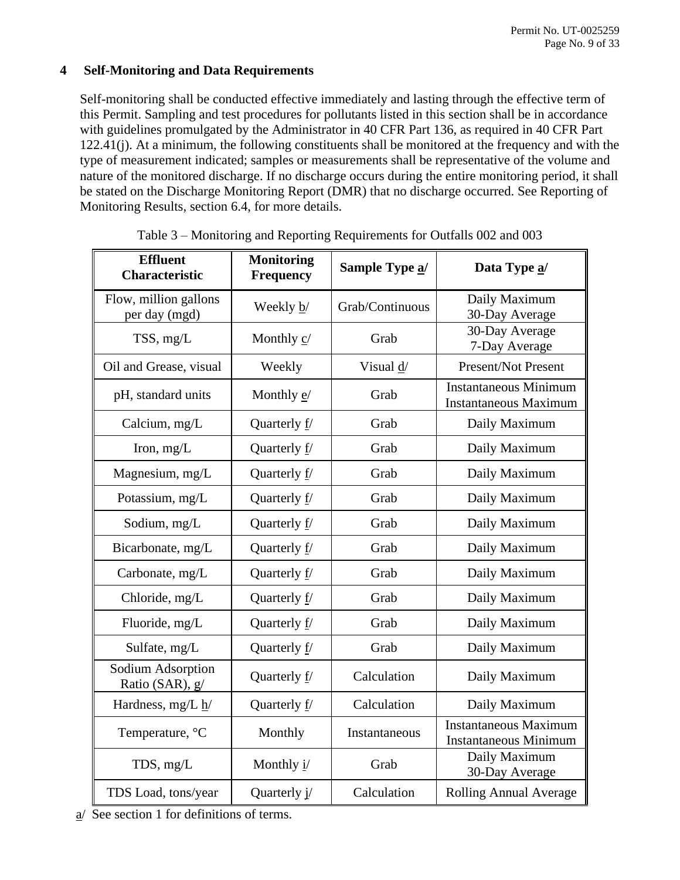# **4 Self-Monitoring and Data Requirements**

Self-monitoring shall be conducted effective immediately and lasting through the effective term of this Permit. Sampling and test procedures for pollutants listed in this section shall be in accordance with guidelines promulgated by the Administrator in 40 CFR Part 136, as required in 40 CFR Part 122.41(j). At a minimum, the following constituents shall be monitored at the frequency and with the type of measurement indicated; samples or measurements shall be representative of the volume and nature of the monitored discharge. If no discharge occurs during the entire monitoring period, it shall be stated on the Discharge Monitoring Report (DMR) that no discharge occurred. See Reporting of Monitoring Results, section [6.4,](#page-20-4) for more details.

| <b>Effluent</b><br><b>Characteristic</b> | <b>Monitoring</b><br><b>Frequency</b> | Sample Type a/       | Data Type a/                                                 |
|------------------------------------------|---------------------------------------|----------------------|--------------------------------------------------------------|
| Flow, million gallons<br>per day (mgd)   | Weekly b/                             | Grab/Continuous      | Daily Maximum<br>30-Day Average                              |
| TSS, mg/L                                | Monthly $\underline{c}$               | Grab                 | 30-Day Average<br>7-Day Average                              |
| Oil and Grease, visual                   | Weekly                                | Visual $\frac{d}{ }$ | Present/Not Present                                          |
| pH, standard units                       | Monthly $e$ /                         | Grab                 | <b>Instantaneous Minimum</b><br><b>Instantaneous Maximum</b> |
| Calcium, mg/L                            | Quarterly f/                          | Grab                 | Daily Maximum                                                |
| Iron, $mg/L$                             | Quarterly f/                          | Grab                 | Daily Maximum                                                |
| Magnesium, mg/L                          | Quarterly f/                          | Grab                 | Daily Maximum                                                |
| Potassium, mg/L                          | Quarterly f/                          | Grab                 | Daily Maximum                                                |
| Sodium, mg/L                             | Quarterly f/                          | Grab                 | Daily Maximum                                                |
| Bicarbonate, mg/L                        | Quarterly $f/$                        | Grab                 | Daily Maximum                                                |
| Carbonate, mg/L                          | Quarterly f/                          | Grab                 | Daily Maximum                                                |
| Chloride, mg/L                           | Quarterly f/                          | Grab                 | Daily Maximum                                                |
| Fluoride, mg/L                           | Quarterly f/                          | Grab                 | Daily Maximum                                                |
| Sulfate, mg/L                            | Quarterly f/                          | Grab                 | Daily Maximum                                                |
| Sodium Adsorption<br>Ratio (SAR), g/     | Quarterly f/                          | Calculation          | Daily Maximum                                                |
| Hardness, mg/L h/                        | Quarterly f/                          | Calculation          | Daily Maximum                                                |
| Temperature, °C                          | Monthly                               | Instantaneous        | <b>Instantaneous Maximum</b><br><b>Instantaneous Minimum</b> |
| TDS, mg/L                                | Monthly i/                            | Grab                 | Daily Maximum<br>30-Day Average                              |
| TDS Load, tons/year                      | Quarterly j/                          | Calculation          | Rolling Annual Average                                       |

Table 3 – Monitoring and Reporting Requirements for Outfalls 002 and 003

 $\alpha$  See section [1](#page-3-0) for definitions of terms.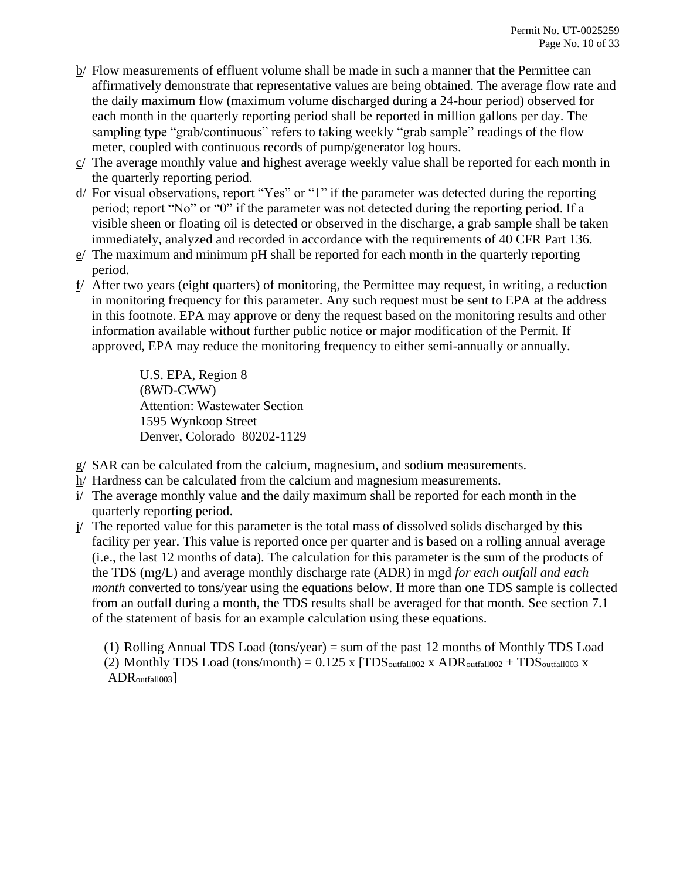- b/ Flow measurements of effluent volume shall be made in such a manner that the Permittee can affirmatively demonstrate that representative values are being obtained. The average flow rate and the daily maximum flow (maximum volume discharged during a 24-hour period) observed for each month in the quarterly reporting period shall be reported in million gallons per day. The sampling type "grab/continuous" refers to taking weekly "grab sample" readings of the flow meter, coupled with continuous records of pump/generator log hours.
- c/ The average monthly value and highest average weekly value shall be reported for each month in the quarterly reporting period.
- d/ For visual observations, report "Yes" or "1" if the parameter was detected during the reporting period; report "No" or "0" if the parameter was not detected during the reporting period. If a visible sheen or floating oil is detected or observed in the discharge, a grab sample shall be taken immediately, analyzed and recorded in accordance with the requirements of 40 CFR Part 136.
- e/ The maximum and minimum pH shall be reported for each month in the quarterly reporting period.
- f/ After two years (eight quarters) of monitoring, the Permittee may request, in writing, a reduction in monitoring frequency for this parameter. Any such request must be sent to EPA at the address in this footnote. EPA may approve or deny the request based on the monitoring results and other information available without further public notice or major modification of the Permit. If approved, EPA may reduce the monitoring frequency to either semi-annually or annually.

U.S. EPA, Region 8 (8WD-CWW) Attention: Wastewater Section 1595 Wynkoop Street Denver, Colorado 80202-1129

- $g/$  SAR can be calculated from the calcium, magnesium, and sodium measurements.
- h/ Hardness can be calculated from the calcium and magnesium measurements.
- i/ The average monthly value and the daily maximum shall be reported for each month in the quarterly reporting period.
- j/ The reported value for this parameter is the total mass of dissolved solids discharged by this facility per year. This value is reported once per quarter and is based on a rolling annual average (i.e., the last 12 months of data). The calculation for this parameter is the sum of the products of the TDS (mg/L) and average monthly discharge rate (ADR) in mgd *for each outfall and each month* converted to tons/year using the equations below. If more than one TDS sample is collected from an outfall during a month, the TDS results shall be averaged for that month. See section 7.1 of the statement of basis for an example calculation using these equations.

(1) Rolling Annual TDS Load (tons/year) = sum of the past 12 months of Monthly TDS Load (2) Monthly TDS Load (tons/month) =  $0.125$  x [TDS<sub>outfall002</sub> x ADR<sub>outfall002</sub> + TDS<sub>outfall003</sub> x ADR<sub>outfall003</sub>]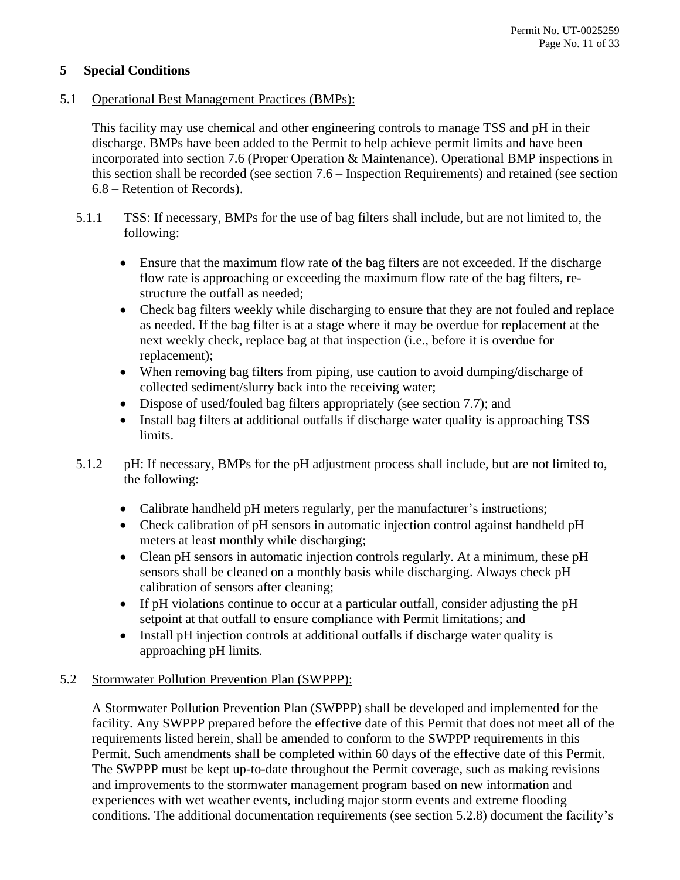# <span id="page-10-0"></span>**5 Special Conditions**

# <span id="page-10-1"></span>5.1 Operational Best Management Practices (BMPs):

This facility may use chemical and other engineering controls to manage TSS and pH in their discharge. BMPs have been added to the Permit to help achieve permit limits and have been incorporated into section [7.6](#page-26-0) (Proper Operation & Maintenance). Operational BMP inspections in this section shall be recorded (see section [7.6](#page-26-0) – Inspection Requirements) and retained (see section [6.8](#page-22-1) – Retention of Records).

- 5.1.1 TSS: If necessary, BMPs for the use of bag filters shall include, but are not limited to, the following:
	- Ensure that the maximum flow rate of the bag filters are not exceeded. If the discharge flow rate is approaching or exceeding the maximum flow rate of the bag filters, restructure the outfall as needed;
	- Check bag filters weekly while discharging to ensure that they are not fouled and replace as needed. If the bag filter is at a stage where it may be overdue for replacement at the next weekly check, replace bag at that inspection (i.e., before it is overdue for replacement);
	- When removing bag filters from piping, use caution to avoid dumping/discharge of collected sediment/slurry back into the receiving water;
	- Dispose of used/fouled bag filters appropriately (see section [7.7\)](#page-27-0); and
	- Install bag filters at additional outfalls if discharge water quality is approaching TSS limits.
- 5.1.2 pH: If necessary, BMPs for the pH adjustment process shall include, but are not limited to, the following:
	- Calibrate handheld pH meters regularly, per the manufacturer's instructions;
	- Check calibration of pH sensors in automatic injection control against handheld pH meters at least monthly while discharging;
	- Clean pH sensors in automatic injection controls regularly. At a minimum, these pH sensors shall be cleaned on a monthly basis while discharging. Always check pH calibration of sensors after cleaning;
	- If pH violations continue to occur at a particular outfall, consider adjusting the pH setpoint at that outfall to ensure compliance with Permit limitations; and
	- Install pH injection controls at additional outfalls if discharge water quality is approaching pH limits.

# <span id="page-10-2"></span>5.2 Stormwater Pollution Prevention Plan (SWPPP):

A Stormwater Pollution Prevention Plan (SWPPP) shall be developed and implemented for the facility. Any SWPPP prepared before the effective date of this Permit that does not meet all of the requirements listed herein, shall be amended to conform to the SWPPP requirements in this Permit. Such amendments shall be completed within 60 days of the effective date of this Permit. The SWPPP must be kept up-to-date throughout the Permit coverage, such as making revisions and improvements to the stormwater management program based on new information and experiences with wet weather events, including major storm events and extreme flooding conditions. The additional documentation requirements (see section [5.2.8\)](#page-17-0) document the facility's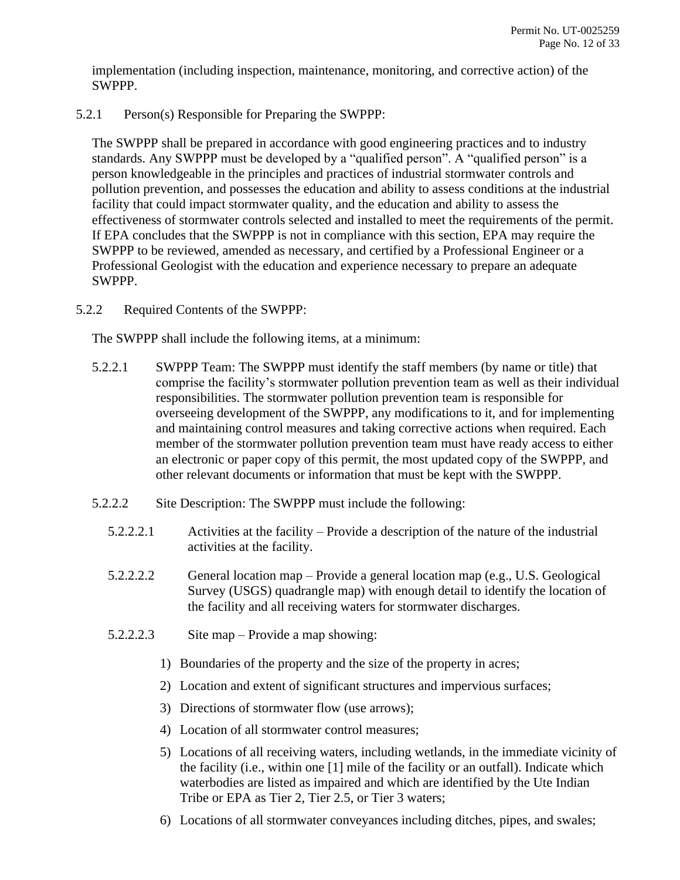implementation (including inspection, maintenance, monitoring, and corrective action) of the SWPPP.

5.2.1 Person(s) Responsible for Preparing the SWPPP:

The SWPPP shall be prepared in accordance with good engineering practices and to industry standards. Any SWPPP must be developed by a "qualified person". A "qualified person" is a person knowledgeable in the principles and practices of industrial stormwater controls and pollution prevention, and possesses the education and ability to assess conditions at the industrial facility that could impact stormwater quality, and the education and ability to assess the effectiveness of stormwater controls selected and installed to meet the requirements of the permit. If EPA concludes that the SWPPP is not in compliance with this section, EPA may require the SWPPP to be reviewed, amended as necessary, and certified by a Professional Engineer or a Professional Geologist with the education and experience necessary to prepare an adequate SWPPP.

5.2.2 Required Contents of the SWPPP:

The SWPPP shall include the following items, at a minimum:

- <span id="page-11-0"></span>5.2.2.1 SWPPP Team: The SWPPP must identify the staff members (by name or title) that comprise the facility's stormwater pollution prevention team as well as their individual responsibilities. The stormwater pollution prevention team is responsible for overseeing development of the SWPPP, any modifications to it, and for implementing and maintaining control measures and taking corrective actions when required. Each member of the stormwater pollution prevention team must have ready access to either an electronic or paper copy of this permit, the most updated copy of the SWPPP, and other relevant documents or information that must be kept with the SWPPP.
- 5.2.2.2 Site Description: The SWPPP must include the following:
	- 5.2.2.2.1 Activities at the facility Provide a description of the nature of the industrial activities at the facility.
	- 5.2.2.2.2 General location map Provide a general location map (e.g., U.S. Geological Survey (USGS) quadrangle map) with enough detail to identify the location of the facility and all receiving waters for stormwater discharges.
	- 5.2.2.2.3 Site map Provide a map showing:
		- 1) Boundaries of the property and the size of the property in acres;
		- 2) Location and extent of significant structures and impervious surfaces;
		- 3) Directions of stormwater flow (use arrows);
		- 4) Location of all stormwater control measures;
		- 5) Locations of all receiving waters, including wetlands, in the immediate vicinity of the facility (i.e., within one [1] mile of the facility or an outfall). Indicate which waterbodies are listed as impaired and which are identified by the Ute Indian Tribe or EPA as Tier 2, Tier 2.5, or Tier 3 waters;
		- 6) Locations of all stormwater conveyances including ditches, pipes, and swales;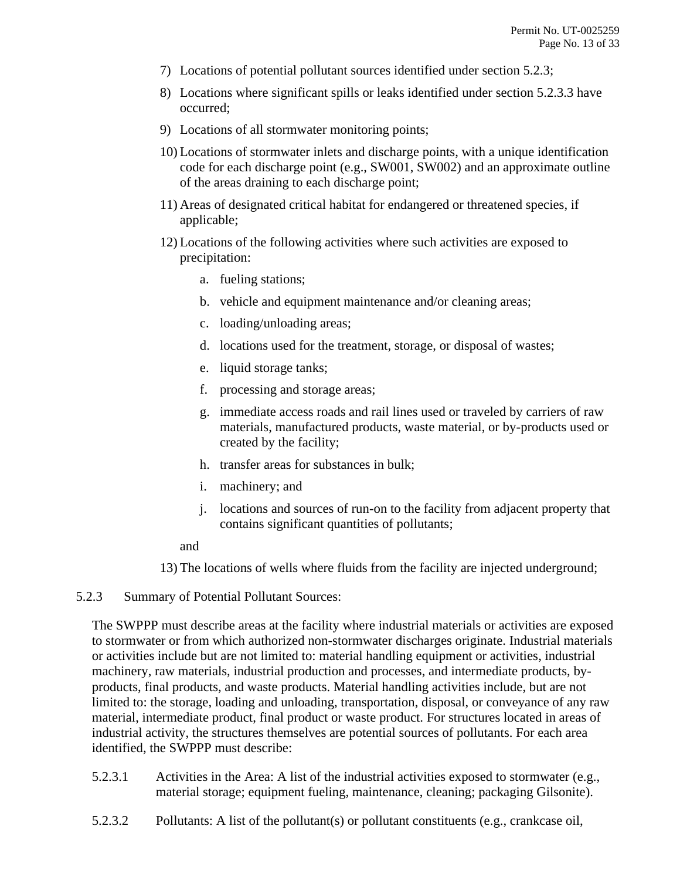- 7) Locations of potential pollutant sources identified under section [5.2.3;](#page-12-0)
- 8) Locations where significant spills or leaks identified under section [5.2.3.3](#page-13-0) have occurred;
- 9) Locations of all stormwater monitoring points;
- 10) Locations of stormwater inlets and discharge points, with a unique identification code for each discharge point (e.g., SW001, SW002) and an approximate outline of the areas draining to each discharge point;
- 11) Areas of designated critical habitat for endangered or threatened species, if applicable;
- 12) Locations of the following activities where such activities are exposed to precipitation:
	- a. fueling stations;
	- b. vehicle and equipment maintenance and/or cleaning areas;
	- c. loading/unloading areas;
	- d. locations used for the treatment, storage, or disposal of wastes;
	- e. liquid storage tanks;
	- f. processing and storage areas;
	- g. immediate access roads and rail lines used or traveled by carriers of raw materials, manufactured products, waste material, or by-products used or created by the facility;
	- h. transfer areas for substances in bulk;
	- i. machinery; and
	- j. locations and sources of run-on to the facility from adjacent property that contains significant quantities of pollutants;

and

13) The locations of wells where fluids from the facility are injected underground;

#### <span id="page-12-0"></span>5.2.3 Summary of Potential Pollutant Sources:

The SWPPP must describe areas at the facility where industrial materials or activities are exposed to stormwater or from which authorized non-stormwater discharges originate. Industrial materials or activities include but are not limited to: material handling equipment or activities, industrial machinery, raw materials, industrial production and processes, and intermediate products, byproducts, final products, and waste products. Material handling activities include, but are not limited to: the storage, loading and unloading, transportation, disposal, or conveyance of any raw material, intermediate product, final product or waste product. For structures located in areas of industrial activity, the structures themselves are potential sources of pollutants. For each area identified, the SWPPP must describe:

- 5.2.3.1 Activities in the Area: A list of the industrial activities exposed to stormwater (e.g., material storage; equipment fueling, maintenance, cleaning; packaging Gilsonite).
- 5.2.3.2 Pollutants: A list of the pollutant(s) or pollutant constituents (e.g., crankcase oil,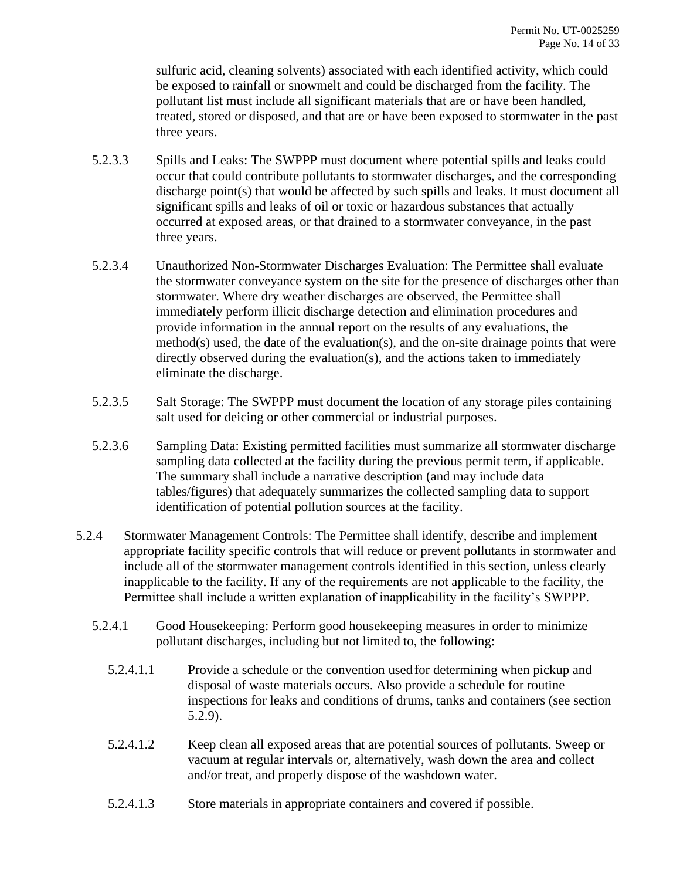sulfuric acid, cleaning solvents) associated with each identified activity, which could be exposed to rainfall or snowmelt and could be discharged from the facility. The pollutant list must include all significant materials that are or have been handled, treated, stored or disposed, and that are or have been exposed to stormwater in the past three years.

- <span id="page-13-0"></span>5.2.3.3 Spills and Leaks: The SWPPP must document where potential spills and leaks could occur that could contribute pollutants to stormwater discharges, and the corresponding discharge point(s) that would be affected by such spills and leaks. It must document all significant spills and leaks of oil or toxic or hazardous substances that actually occurred at exposed areas, or that drained to a stormwater conveyance, in the past three years.
- 5.2.3.4 Unauthorized Non-Stormwater Discharges Evaluation: The Permittee shall evaluate the stormwater conveyance system on the site for the presence of discharges other than stormwater. Where dry weather discharges are observed, the Permittee shall immediately perform illicit discharge detection and elimination procedures and provide information in the annual report on the results of any evaluations, the method(s) used, the date of the evaluation(s), and the on-site drainage points that were directly observed during the evaluation(s), and the actions taken to immediately eliminate the discharge.
- 5.2.3.5 Salt Storage: The SWPPP must document the location of any storage piles containing salt used for deicing or other commercial or industrial purposes.
- 5.2.3.6 Sampling Data: Existing permitted facilities must summarize all stormwater discharge sampling data collected at the facility during the previous permit term, if applicable. The summary shall include a narrative description (and may include data tables/figures) that adequately summarizes the collected sampling data to support identification of potential pollution sources at the facility.
- <span id="page-13-1"></span>5.2.4 Stormwater Management Controls: The Permittee shall identify, describe and implement appropriate facility specific controls that will reduce or prevent pollutants in stormwater and include all of the stormwater management controls identified in this section, unless clearly inapplicable to the facility. If any of the requirements are not applicable to the facility, the Permittee shall include a written explanation of inapplicability in the facility's SWPPP.
	- 5.2.4.1 Good Housekeeping: Perform good housekeeping measures in order to minimize pollutant discharges, including but not limited to, the following:
		- 5.2.4.1.1 Provide a schedule or the convention usedfor determining when pickup and disposal of waste materials occurs. Also provide a schedule for routine inspections for leaks and conditions of drums, tanks and containers (see section [5.2.9\)](#page-17-1).
		- 5.2.4.1.2 Keep clean all exposed areas that are potential sources of pollutants. Sweep or vacuum at regular intervals or, alternatively, wash down the area and collect and/or treat, and properly dispose of the washdown water.
		- 5.2.4.1.3 Store materials in appropriate containers and covered if possible.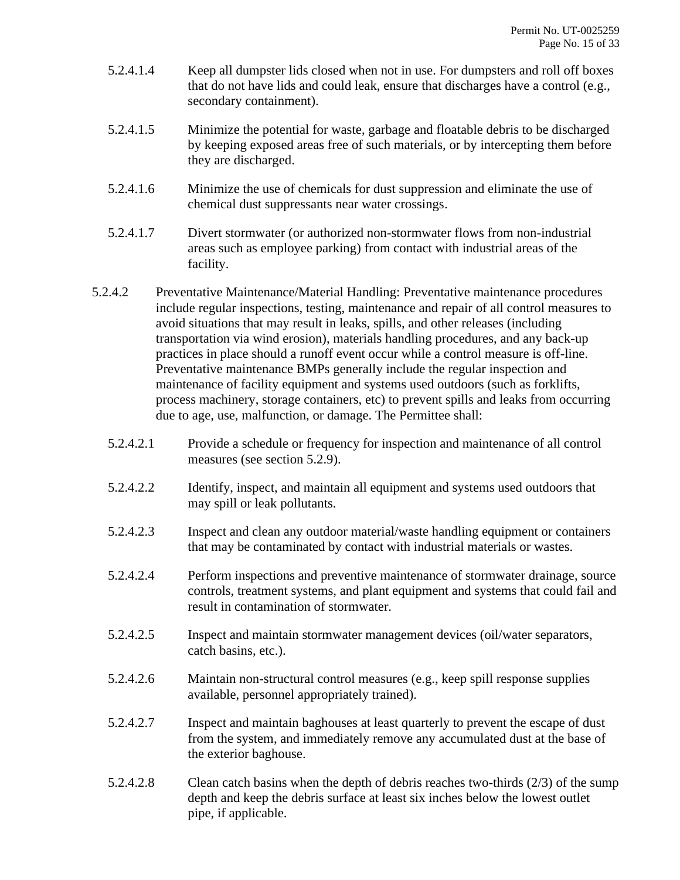- 5.2.4.1.4 Keep all dumpster lids closed when not in use. For dumpsters and roll off boxes that do not have lids and could leak, ensure that discharges have a control (e.g., secondary containment).
- 5.2.4.1.5 Minimize the potential for waste, garbage and floatable debris to be discharged by keeping exposed areas free of such materials, or by intercepting them before they are discharged.
- 5.2.4.1.6 Minimize the use of chemicals for dust suppression and eliminate the use of chemical dust suppressants near water crossings.
- 5.2.4.1.7 Divert stormwater (or authorized non-stormwater flows from non-industrial areas such as employee parking) from contact with industrial areas of the facility.
- <span id="page-14-0"></span>5.2.4.2 Preventative Maintenance/Material Handling: Preventative maintenance procedures include regular inspections, testing, maintenance and repair of all control measures to avoid situations that may result in leaks, spills, and other releases (including transportation via wind erosion), materials handling procedures, and any back-up practices in place should a runoff event occur while a control measure is off-line. Preventative maintenance BMPs generally include the regular inspection and maintenance of facility equipment and systems used outdoors (such as forklifts, process machinery, storage containers, etc) to prevent spills and leaks from occurring due to age, use, malfunction, or damage. The Permittee shall:
	- 5.2.4.2.1 Provide a schedule or frequency for inspection and maintenance of all control measures (see section [5.2.9\)](#page-17-1).
	- 5.2.4.2.2 Identify, inspect, and maintain all equipment and systems used outdoors that may spill or leak pollutants.
	- 5.2.4.2.3 Inspect and clean any outdoor material/waste handling equipment or containers that may be contaminated by contact with industrial materials or wastes.
	- 5.2.4.2.4 Perform inspections and preventive maintenance of stormwater drainage, source controls, treatment systems, and plant equipment and systems that could fail and result in contamination of stormwater.
	- 5.2.4.2.5 Inspect and maintain stormwater management devices (oil/water separators, catch basins, etc.).
	- 5.2.4.2.6 Maintain non-structural control measures (e.g., keep spill response supplies available, personnel appropriately trained).
	- 5.2.4.2.7 Inspect and maintain baghouses at least quarterly to prevent the escape of dust from the system, and immediately remove any accumulated dust at the base of the exterior baghouse.
	- 5.2.4.2.8 Clean catch basins when the depth of debris reaches two-thirds (2/3) of the sump depth and keep the debris surface at least six inches below the lowest outlet pipe, if applicable.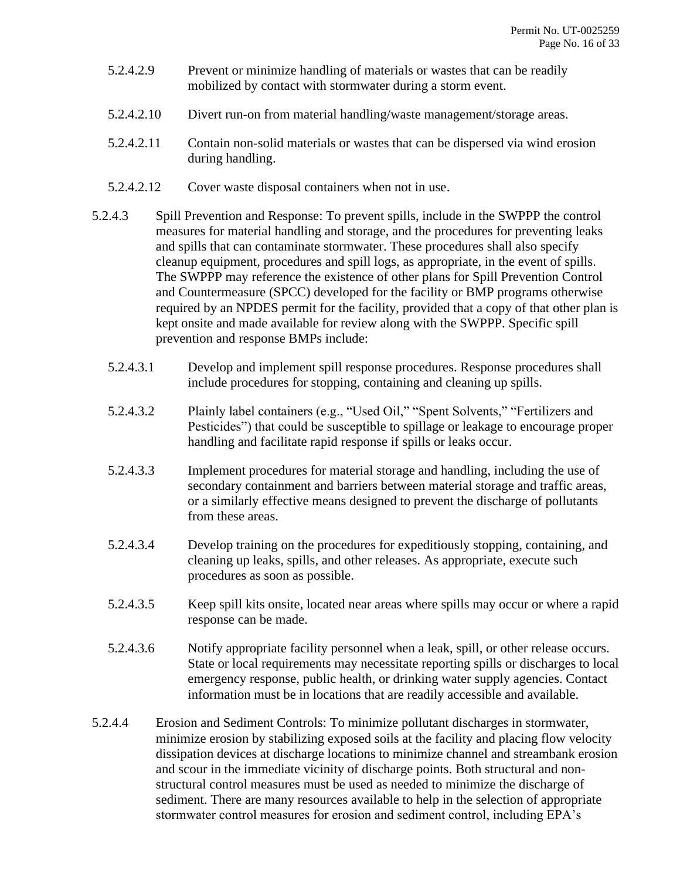- 5.2.4.2.9 Prevent or minimize handling of materials or wastes that can be readily mobilized by contact with stormwater during a storm event.
- 5.2.4.2.10 Divert run-on from material handling/waste management/storage areas.
- 5.2.4.2.11 Contain non-solid materials or wastes that can be dispersed via wind erosion during handling.
- 5.2.4.2.12 Cover waste disposal containers when not in use.
- 5.2.4.3 Spill Prevention and Response: To prevent spills, include in the SWPPP the control measures for material handling and storage, and the procedures for preventing leaks and spills that can contaminate stormwater. These procedures shall also specify cleanup equipment, procedures and spill logs, as appropriate, in the event of spills. The SWPPP may reference the existence of other plans for Spill Prevention Control and Countermeasure (SPCC) developed for the facility or BMP programs otherwise required by an NPDES permit for the facility, provided that a copy of that other plan is kept onsite and made available for review along with the SWPPP. Specific spill prevention and response BMPs include:
	- 5.2.4.3.1 Develop and implement spill response procedures. Response procedures shall include procedures for stopping, containing and cleaning up spills.
	- 5.2.4.3.2 Plainly label containers (e.g., "Used Oil," "Spent Solvents," "Fertilizers and Pesticides") that could be susceptible to spillage or leakage to encourage proper handling and facilitate rapid response if spills or leaks occur.
	- 5.2.4.3.3 Implement procedures for material storage and handling, including the use of secondary containment and barriers between material storage and traffic areas, or a similarly effective means designed to prevent the discharge of pollutants from these areas.
	- 5.2.4.3.4 Develop training on the procedures for expeditiously stopping, containing, and cleaning up leaks, spills, and other releases. As appropriate, execute such procedures as soon as possible.
	- 5.2.4.3.5 Keep spill kits onsite, located near areas where spills may occur or where a rapid response can be made.
	- 5.2.4.3.6 Notify appropriate facility personnel when a leak, spill, or other release occurs. State or local requirements may necessitate reporting spills or discharges to local emergency response, public health, or drinking water supply agencies. Contact information must be in locations that are readily accessible and available.
- 5.2.4.4 Erosion and Sediment Controls: To minimize pollutant discharges in stormwater, minimize erosion by stabilizing exposed soils at the facility and placing flow velocity dissipation devices at discharge locations to minimize channel and streambank erosion and scour in the immediate vicinity of discharge points. Both structural and nonstructural control measures must be used as needed to minimize the discharge of sediment. There are many resources available to help in the selection of appropriate stormwater control measures for erosion and sediment control, including EPA's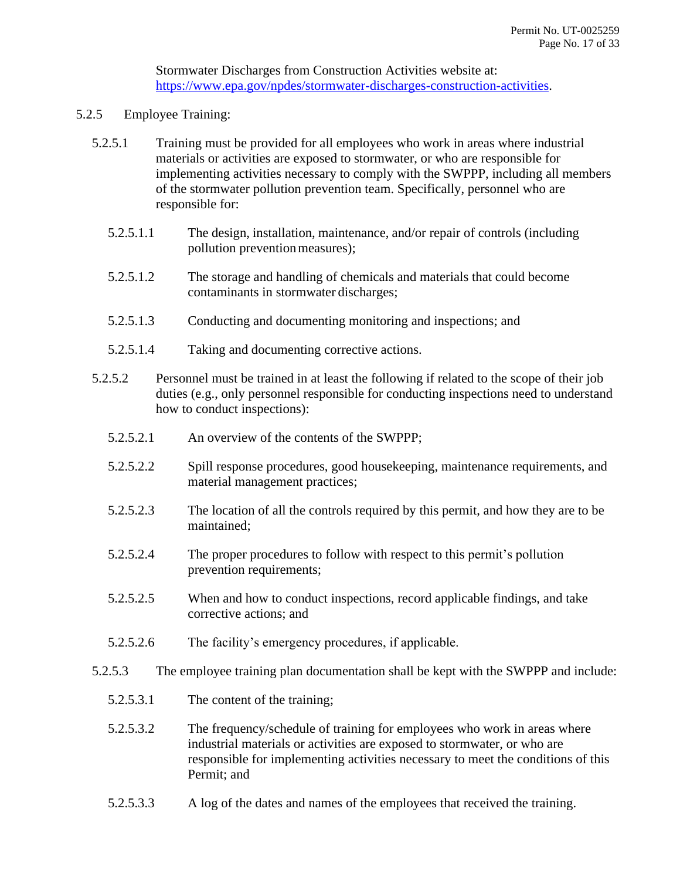Stormwater Discharges from Construction Activities website at: [https://www.epa.gov/npdes/stormwater-discharges-construction-activities.](https://www.epa.gov/npdes/stormwater-discharges-construction-activities)

- 5.2.5 Employee Training:
	- 5.2.5.1 Training must be provided for all employees who work in areas where industrial materials or activities are exposed to stormwater, or who are responsible for implementing activities necessary to comply with the SWPPP, including all members of the stormwater pollution prevention team. Specifically, personnel who are responsible for:
		- 5.2.5.1.1 The design, installation, maintenance, and/or repair of controls (including pollution prevention measures);
		- 5.2.5.1.2 The storage and handling of chemicals and materials that could become contaminants in stormwater discharges;
		- 5.2.5.1.3 Conducting and documenting monitoring and inspections; and
		- 5.2.5.1.4 Taking and documenting corrective actions.
	- 5.2.5.2 Personnel must be trained in at least the following if related to the scope of their job duties (e.g., only personnel responsible for conducting inspections need to understand how to conduct inspections):
		- 5.2.5.2.1 An overview of the contents of the SWPPP;
		- 5.2.5.2.2 Spill response procedures, good housekeeping, maintenance requirements, and material management practices;
		- 5.2.5.2.3 The location of all the controls required by this permit, and how they are to be maintained;
		- 5.2.5.2.4 The proper procedures to follow with respect to this permit's pollution prevention requirements;
		- 5.2.5.2.5 When and how to conduct inspections, record applicable findings, and take corrective actions; and
		- 5.2.5.2.6 The facility's emergency procedures, if applicable.
	- 5.2.5.3 The employee training plan documentation shall be kept with the SWPPP and include:
		- 5.2.5.3.1 The content of the training;
		- 5.2.5.3.2 The frequency/schedule of training for employees who work in areas where industrial materials or activities are exposed to stormwater, or who are responsible for implementing activities necessary to meet the conditions of this Permit; and
		- 5.2.5.3.3 A log of the dates and names of the employees that received the training.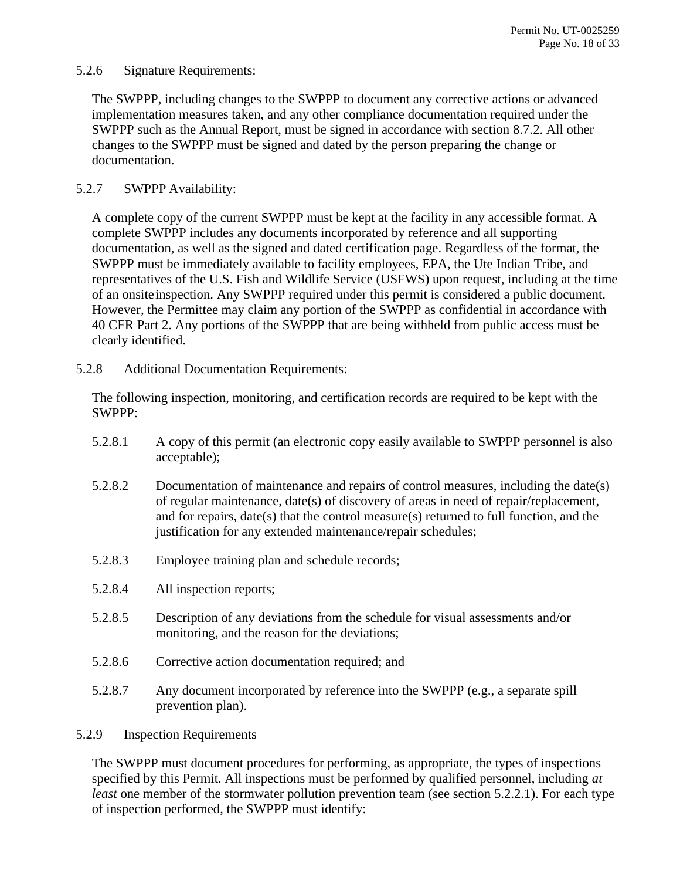### <span id="page-17-2"></span>5.2.6 Signature Requirements:

The SWPPP, including changes to the SWPPP to document any corrective actions or advanced implementation measures taken, and any other compliance documentation required under the SWPPP such as the Annual Report, must be signed in accordance with section [8.7.2.](#page-30-6) All other changes to the SWPPP must be signed and dated by the person preparing the change or documentation.

# 5.2.7 SWPPP Availability:

A complete copy of the current SWPPP must be kept at the facility in any accessible format. A complete SWPPP includes any documents incorporated by reference and all supporting documentation, as well as the signed and dated certification page. Regardless of the format, the SWPPP must be immediately available to facility employees, EPA, the Ute Indian Tribe, and representatives of the U.S. Fish and Wildlife Service (USFWS) upon request, including at the time of an onsiteinspection. Any SWPPP required under this permit is considered a public document. However, the Permittee may claim any portion of the SWPPP as confidential in accordance with 40 CFR Part 2. Any portions of the SWPPP that are being withheld from public access must be clearly identified.

<span id="page-17-0"></span>5.2.8 Additional Documentation Requirements:

The following inspection, monitoring, and certification records are required to be kept with the SWPPP:

- 5.2.8.1 A copy of this permit (an electronic copy easily available to SWPPP personnel is also acceptable);
- 5.2.8.2 Documentation of maintenance and repairs of control measures, including the date(s) of regular maintenance, date(s) of discovery of areas in need of repair/replacement, and for repairs, date(s) that the control measure(s) returned to full function, and the justification for any extended maintenance/repair schedules;
- 5.2.8.3 Employee training plan and schedule records;
- 5.2.8.4 All inspection reports;
- 5.2.8.5 Description of any deviations from the schedule for visual assessments and/or monitoring, and the reason for the deviations;
- 5.2.8.6 Corrective action documentation required; and
- 5.2.8.7 Any document incorporated by reference into the SWPPP (e.g., a separate spill prevention plan).

### <span id="page-17-1"></span>5.2.9 Inspection Requirements

The SWPPP must document procedures for performing, as appropriate, the types of inspections specified by this Permit. All inspections must be performed by qualified personnel, including *at least* one member of the stormwater pollution prevention team (see section [5.2.2.1\)](#page-11-0). For each type of inspection performed, the SWPPP must identify: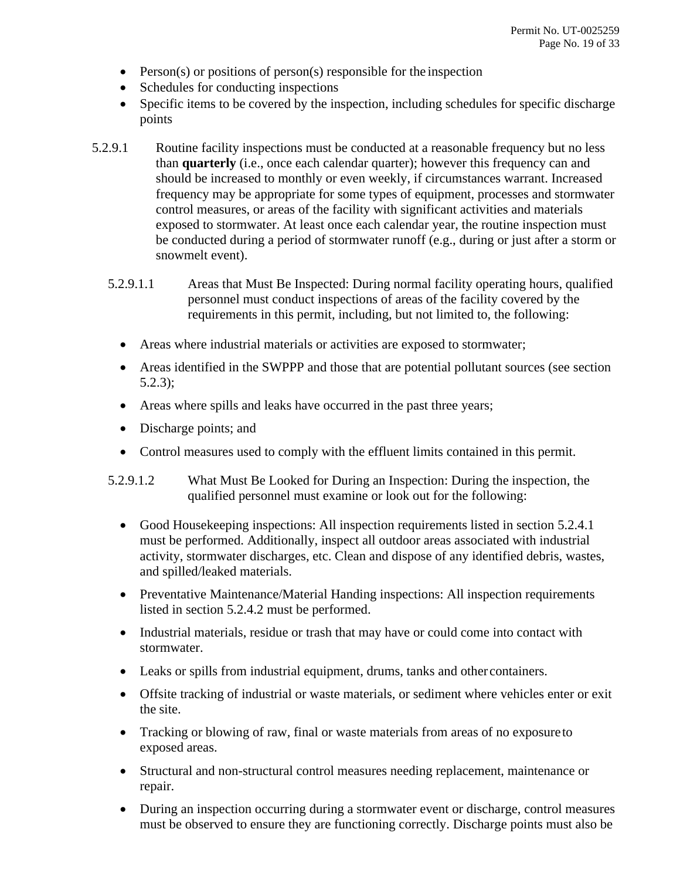- Person(s) or positions of person(s) responsible for the inspection
- Schedules for conducting inspections
- Specific items to be covered by the inspection, including schedules for specific discharge points
- <span id="page-18-0"></span>5.2.9.1 Routine facility inspections must be conducted at a reasonable frequency but no less than **quarterly** (i.e., once each calendar quarter); however this frequency can and should be increased to monthly or even weekly, if circumstances warrant. Increased frequency may be appropriate for some types of equipment, processes and stormwater control measures, or areas of the facility with significant activities and materials exposed to stormwater. At least once each calendar year, the routine inspection must be conducted during a period of stormwater runoff (e.g., during or just after a storm or snowmelt event).
	- 5.2.9.1.1 Areas that Must Be Inspected: During normal facility operating hours, qualified personnel must conduct inspections of areas of the facility covered by the requirements in this permit, including, but not limited to, the following:
		- Areas where industrial materials or activities are exposed to stormwater;
		- Areas identified in the SWPPP and those that are potential pollutant sources (see section [5.2.3\)](#page-12-0);
		- Areas where spills and leaks have occurred in the past three years;
		- Discharge points; and
		- Control measures used to comply with the effluent limits contained in this permit.
	- 5.2.9.1.2 What Must Be Looked for During an Inspection: During the inspection, the qualified personnel must examine or look out for the following:
		- Good Housekeeping inspections: All inspection requirements listed in section [5.2.4.1](#page-13-1) must be performed. Additionally, inspect all outdoor areas associated with industrial activity, stormwater discharges, etc. Clean and dispose of any identified debris, wastes, and spilled/leaked materials.
		- Preventative Maintenance/Material Handing inspections: All inspection requirements listed in section [5.2.4.2](#page-14-0) must be performed.
		- Industrial materials, residue or trash that may have or could come into contact with stormwater.
		- Leaks or spills from industrial equipment, drums, tanks and other containers.
		- Offsite tracking of industrial or waste materials, or sediment where vehicles enter or exit the site.
		- Tracking or blowing of raw, final or waste materials from areas of no exposureto exposed areas.
		- Structural and non-structural control measures needing replacement, maintenance or repair.
		- During an inspection occurring during a stormwater event or discharge, control measures must be observed to ensure they are functioning correctly. Discharge points must also be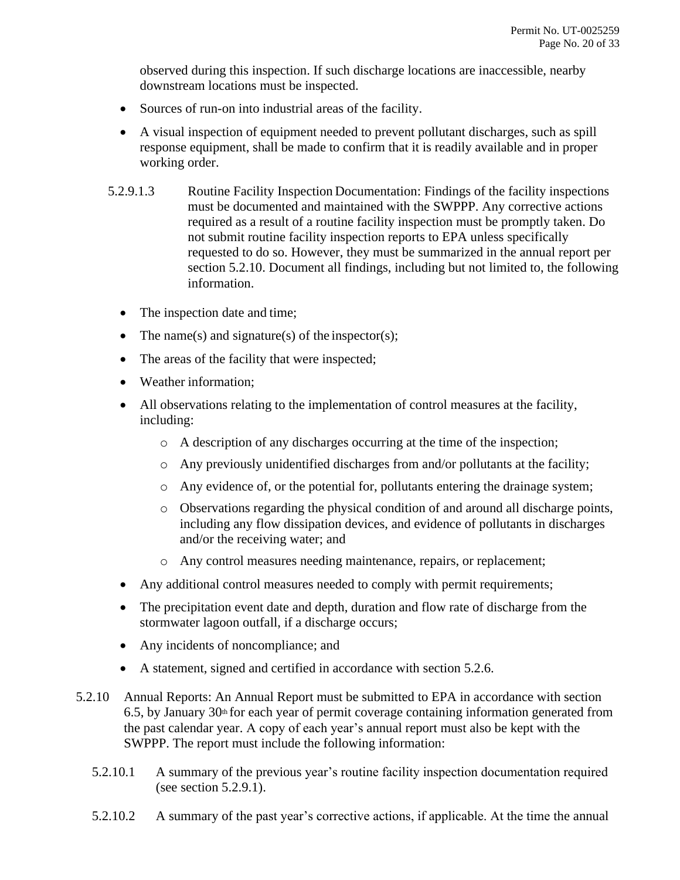observed during this inspection. If such discharge locations are inaccessible, nearby downstream locations must be inspected.

- Sources of run-on into industrial areas of the facility.
- A visual inspection of equipment needed to prevent pollutant discharges, such as spill response equipment, shall be made to confirm that it is readily available and in proper working order.
- 5.2.9.1.3 Routine Facility Inspection Documentation: Findings of the facility inspections must be documented and maintained with the SWPPP. Any corrective actions required as a result of a routine facility inspection must be promptly taken. Do not submit routine facility inspection reports to EPA unless specifically requested to do so. However, they must be summarized in the annual report per section [5.2.10.](#page-19-0) Document all findings, including but not limited to, the following information.
	- The inspection date and time;
	- The name(s) and signature(s) of the inspector(s);
	- The areas of the facility that were inspected;
	- Weather information:
	- All observations relating to the implementation of control measures at the facility, including:
		- o A description of any discharges occurring at the time of the inspection;
		- o Any previously unidentified discharges from and/or pollutants at the facility;
		- o Any evidence of, or the potential for, pollutants entering the drainage system;
		- o Observations regarding the physical condition of and around all discharge points, including any flow dissipation devices, and evidence of pollutants in discharges and/or the receiving water; and
		- o Any control measures needing maintenance, repairs, or replacement;
	- Any additional control measures needed to comply with permit requirements;
	- The precipitation event date and depth, duration and flow rate of discharge from the stormwater lagoon outfall, if a discharge occurs;
	- Any incidents of noncompliance; and
	- A statement, signed and certified in accordance with section [5.2.6.](#page-17-2)
- <span id="page-19-0"></span>5.2.10 Annual Reports: An Annual Report must be submitted to EPA in accordance with section [6.5,](#page-21-0) by January  $30<sup>th</sup>$  for each year of permit coverage containing information generated from the past calendar year. A copy of each year's annual report must also be kept with the SWPPP. The report must include the following information:
	- 5.2.10.1 A summary of the previous year's routine facility inspection documentation required (see section [5.2.9.1\)](#page-18-0).
	- 5.2.10.2 A summary of the past year's corrective actions, if applicable. At the time the annual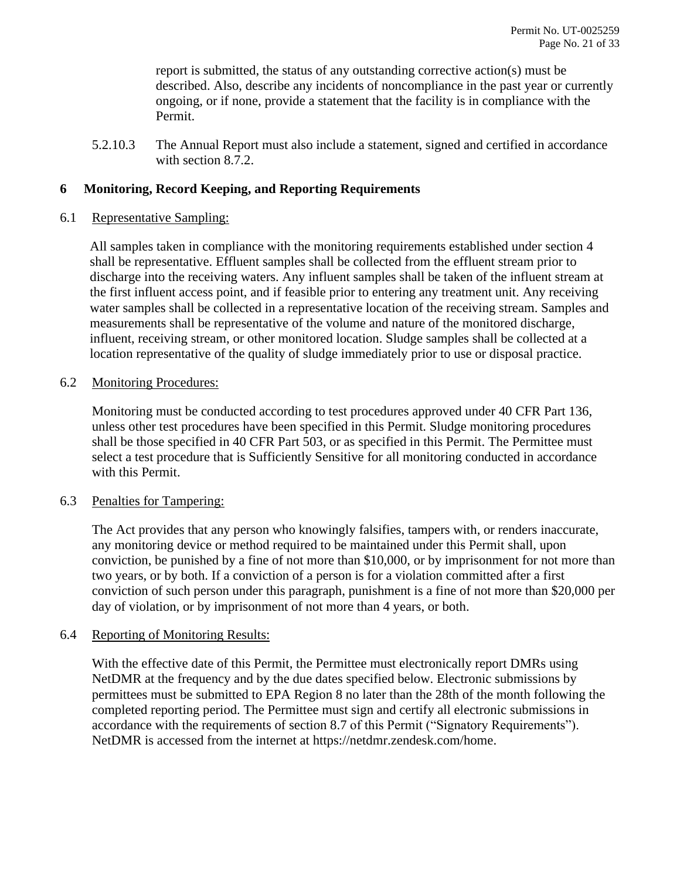report is submitted, the status of any outstanding corrective action(s) must be described. Also, describe any incidents of noncompliance in the past year or currently ongoing, or if none, provide a statement that the facility is in compliance with the Permit.

5.2.10.3 The Annual Report must also include a statement, signed and certified in accordance with section [8.7.2.](#page-30-6)

# <span id="page-20-0"></span>**6 Monitoring, Record Keeping, and Reporting Requirements**

#### <span id="page-20-1"></span>6.1 Representative Sampling:

All samples taken in compliance with the monitoring requirements established under section 4 shall be representative. Effluent samples shall be collected from the effluent stream prior to discharge into the receiving waters. Any influent samples shall be taken of the influent stream at the first influent access point, and if feasible prior to entering any treatment unit. Any receiving water samples shall be collected in a representative location of the receiving stream. Samples and measurements shall be representative of the volume and nature of the monitored discharge, influent, receiving stream, or other monitored location. Sludge samples shall be collected at a location representative of the quality of sludge immediately prior to use or disposal practice.

### <span id="page-20-2"></span>6.2 Monitoring Procedures:

Monitoring must be conducted according to test procedures approved under 40 CFR Part 136, unless other test procedures have been specified in this Permit. Sludge monitoring procedures shall be those specified in 40 CFR Part 503, or as specified in this Permit. The Permittee must select a test procedure that is Sufficiently Sensitive for all monitoring conducted in accordance with this Permit.

#### <span id="page-20-3"></span>6.3 Penalties for Tampering:

The Act provides that any person who knowingly falsifies, tampers with, or renders inaccurate, any monitoring device or method required to be maintained under this Permit shall, upon conviction, be punished by a fine of not more than \$10,000, or by imprisonment for not more than two years, or by both. If a conviction of a person is for a violation committed after a first conviction of such person under this paragraph, punishment is a fine of not more than \$20,000 per day of violation, or by imprisonment of not more than 4 years, or both.

#### <span id="page-20-4"></span>6.4 Reporting of Monitoring Results:

With the effective date of this Permit, the Permittee must electronically report DMRs using NetDMR at the frequency and by the due dates specified below. Electronic submissions by permittees must be submitted to EPA Region 8 no later than the 28th of the month following the completed reporting period. The Permittee must sign and certify all electronic submissions in accordance with the requirements of section [8.7](#page-30-5) of this Permit ("Signatory Requirements"). NetDMR is accessed from the internet at [https://netdmr.zendesk.com/home.](https://netdmr.zendesk.com/home)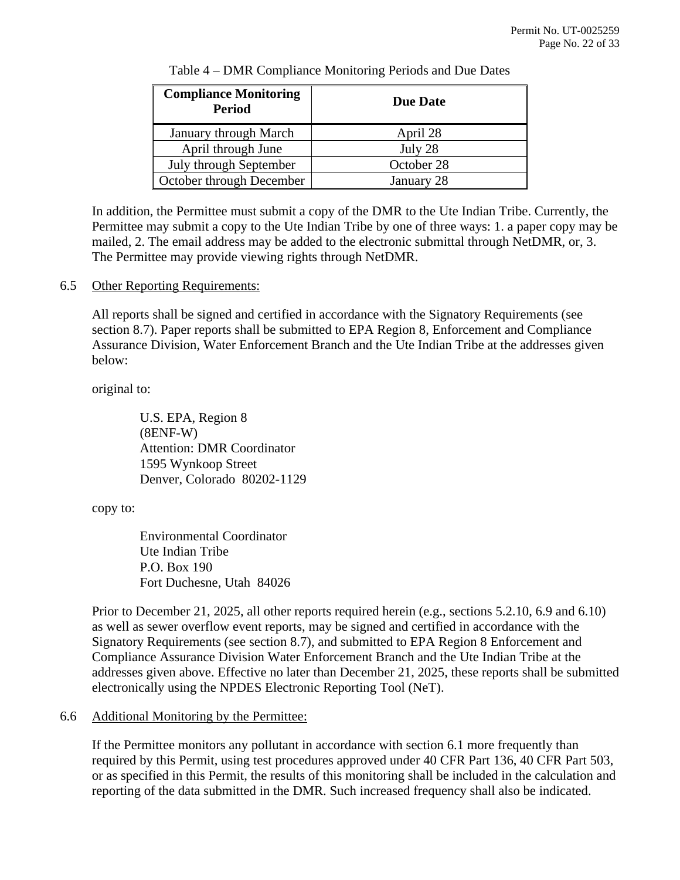| <b>Compliance Monitoring</b><br><b>Period</b> | <b>Due Date</b> |  |
|-----------------------------------------------|-----------------|--|
| <b>January through March</b>                  | April 28        |  |
| April through June                            | July 28         |  |
| July through September                        | October 28      |  |
| October through December                      | January 28      |  |

Table 4 – DMR Compliance Monitoring Periods and Due Dates

In addition, the Permittee must submit a copy of the DMR to the Ute Indian Tribe. Currently, the Permittee may submit a copy to the Ute Indian Tribe by one of three ways: 1. a paper copy may be mailed, 2. The email address may be added to the electronic submittal through NetDMR, or, 3. The Permittee may provide viewing rights through NetDMR.

### <span id="page-21-0"></span>6.5 Other Reporting Requirements:

All reports shall be signed and certified in accordance with the Signatory Requirements (see section [8.7\)](#page-30-5). Paper reports shall be submitted to EPA Region 8, Enforcement and Compliance Assurance Division, Water Enforcement Branch and the Ute Indian Tribe at the addresses given below:

#### original to:

U.S. EPA, Region 8 (8ENF-W) Attention: DMR Coordinator 1595 Wynkoop Street Denver, Colorado 80202-1129

#### copy to:

Environmental Coordinator Ute Indian Tribe P.O. Box 190 Fort Duchesne, Utah 84026

Prior to December 21, 2025, all other reports required herein (e.g., sections [5.2.10,](#page-19-0) [6.9](#page-22-2) and [6.10\)](#page-23-0) as well as sewer overflow event reports, may be signed and certified in accordance with the Signatory Requirements (see section [8.7\)](#page-30-5), and submitted to EPA Region 8 Enforcement and Compliance Assurance Division Water Enforcement Branch and the Ute Indian Tribe at the addresses given above. Effective no later than December 21, 2025, these reports shall be submitted electronically using the NPDES Electronic Reporting Tool (NeT).

# <span id="page-21-1"></span>6.6 Additional Monitoring by the Permittee:

If the Permittee monitors any pollutant in accordance with section [6.1](#page-20-1) more frequently than required by this Permit, using test procedures approved under 40 CFR Part 136, 40 CFR Part 503, or as specified in this Permit, the results of this monitoring shall be included in the calculation and reporting of the data submitted in the DMR. Such increased frequency shall also be indicated.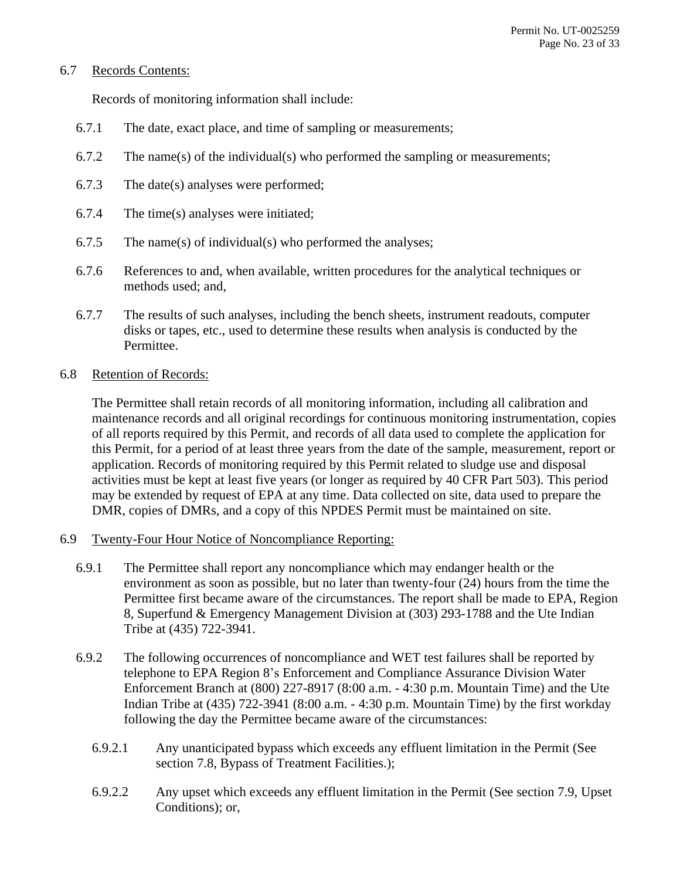### <span id="page-22-0"></span>6.7 Records Contents:

Records of monitoring information shall include:

- 6.7.1 The date, exact place, and time of sampling or measurements;
- 6.7.2 The name(s) of the individual(s) who performed the sampling or measurements;
- 6.7.3 The date(s) analyses were performed;
- 6.7.4 The time(s) analyses were initiated;
- 6.7.5 The name(s) of individual(s) who performed the analyses;
- 6.7.6 References to and, when available, written procedures for the analytical techniques or methods used; and,
- 6.7.7 The results of such analyses, including the bench sheets, instrument readouts, computer disks or tapes, etc., used to determine these results when analysis is conducted by the Permittee.

### <span id="page-22-1"></span>6.8 Retention of Records:

The Permittee shall retain records of all monitoring information, including all calibration and maintenance records and all original recordings for continuous monitoring instrumentation, copies of all reports required by this Permit, and records of all data used to complete the application for this Permit, for a period of at least three years from the date of the sample, measurement, report or application. Records of monitoring required by this Permit related to sludge use and disposal activities must be kept at least five years (or longer as required by 40 CFR Part 503). This period may be extended by request of EPA at any time. Data collected on site, data used to prepare the DMR, copies of DMRs, and a copy of this NPDES Permit must be maintained on site.

- <span id="page-22-4"></span><span id="page-22-3"></span><span id="page-22-2"></span>6.9 Twenty-Four Hour Notice of Noncompliance Reporting:
	- 6.9.1 The Permittee shall report any noncompliance which may endanger health or the environment as soon as possible, but no later than twenty-four (24) hours from the time the Permittee first became aware of the circumstances. The report shall be made to EPA, Region 8, Superfund & Emergency Management Division at (303) 293-1788 and the Ute Indian Tribe at (435) 722-3941.
	- 6.9.2 The following occurrences of noncompliance and WET test failures shall be reported by telephone to EPA Region 8's Enforcement and Compliance Assurance Division Water Enforcement Branch at (800) 227-8917 (8:00 a.m. - 4:30 p.m. Mountain Time) and the Ute Indian Tribe at (435) 722-3941 (8:00 a.m. - 4:30 p.m. Mountain Time) by the first workday following the day the Permittee became aware of the circumstances:
		- 6.9.2.1 Any unanticipated bypass which exceeds any effluent limitation in the Permit (See section [7.8,](#page-27-1) Bypass of Treatment Facilities.);
		- 6.9.2.2 Any upset which exceeds any effluent limitation in the Permit (See section [7.9,](#page-28-0) Upset Conditions); or,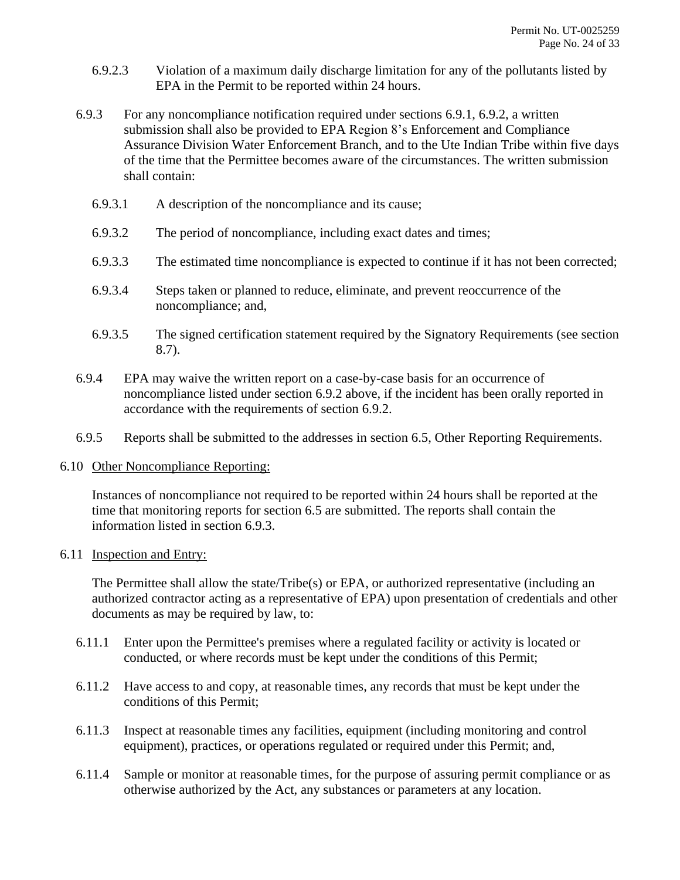- 6.9.2.3 Violation of a maximum daily discharge limitation for any of the pollutants listed by EPA in the Permit to be reported within 24 hours.
- <span id="page-23-2"></span>6.9.3 For any noncompliance notification required under sections [6.9.1,](#page-22-3) [6.9.2,](#page-22-4) a written submission shall also be provided to EPA Region 8's Enforcement and Compliance Assurance Division Water Enforcement Branch, and to the Ute Indian Tribe within five days of the time that the Permittee becomes aware of the circumstances. The written submission shall contain:
	- 6.9.3.1 A description of the noncompliance and its cause;
	- 6.9.3.2 The period of noncompliance, including exact dates and times;
	- 6.9.3.3 The estimated time noncompliance is expected to continue if it has not been corrected;
	- 6.9.3.4 Steps taken or planned to reduce, eliminate, and prevent reoccurrence of the noncompliance; and,
	- 6.9.3.5 The signed certification statement required by the Signatory Requirements (see section [8.7\)](#page-30-5).
- 6.9.4 EPA may waive the written report on a case-by-case basis for an occurrence of noncompliance listed under section [6.9.2](#page-22-4) above, if the incident has been orally reported in accordance with the requirements of section [6.9.2.](#page-22-4)
- 6.9.5 Reports shall be submitted to the addresses in section [6.5,](#page-21-0) Other Reporting Requirements.

#### <span id="page-23-0"></span>6.10 Other Noncompliance Reporting:

Instances of noncompliance not required to be reported within 24 hours shall be reported at the time that monitoring reports for section [6.5](#page-21-0) are submitted. The reports shall contain the information listed in section [6.9.3.](#page-23-2)

#### <span id="page-23-1"></span>6.11 Inspection and Entry:

The Permittee shall allow the state/Tribe(s) or EPA, or authorized representative (including an authorized contractor acting as a representative of EPA) upon presentation of credentials and other documents as may be required by law, to:

- 6.11.1 Enter upon the Permittee's premises where a regulated facility or activity is located or conducted, or where records must be kept under the conditions of this Permit;
- 6.11.2 Have access to and copy, at reasonable times, any records that must be kept under the conditions of this Permit;
- 6.11.3 Inspect at reasonable times any facilities, equipment (including monitoring and control equipment), practices, or operations regulated or required under this Permit; and,
- 6.11.4 Sample or monitor at reasonable times, for the purpose of assuring permit compliance or as otherwise authorized by the Act, any substances or parameters at any location.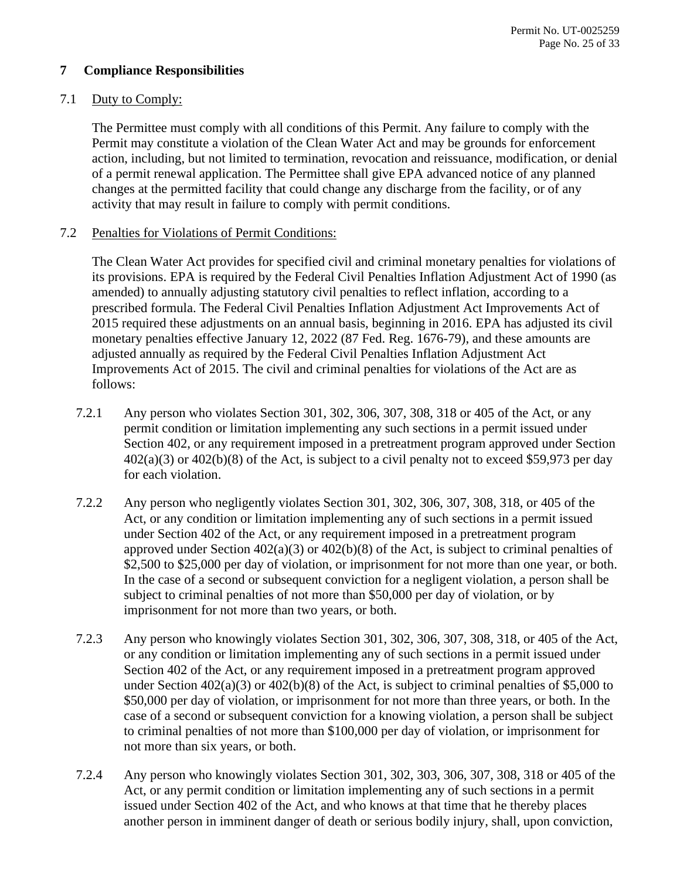# <span id="page-24-0"></span>**7 Compliance Responsibilities**

# <span id="page-24-1"></span>7.1 Duty to Comply:

The Permittee must comply with all conditions of this Permit. Any failure to comply with the Permit may constitute a violation of the Clean Water Act and may be grounds for enforcement action, including, but not limited to termination, revocation and reissuance, modification, or denial of a permit renewal application. The Permittee shall give EPA advanced notice of any planned changes at the permitted facility that could change any discharge from the facility, or of any activity that may result in failure to comply with permit conditions.

# <span id="page-24-2"></span>7.2 Penalties for Violations of Permit Conditions:

The Clean Water Act provides for specified civil and criminal monetary penalties for violations of its provisions. EPA is required by the Federal Civil Penalties Inflation Adjustment Act of 1990 (as amended) to annually adjusting statutory civil penalties to reflect inflation, according to a prescribed formula. The Federal Civil Penalties Inflation Adjustment Act Improvements Act of 2015 required these adjustments on an annual basis, beginning in 2016. EPA has adjusted its civil monetary penalties effective January 12, 2022 (87 Fed. Reg. 1676-79), and these amounts are adjusted annually as required by the Federal Civil Penalties Inflation Adjustment Act Improvements Act of 2015. The civil and criminal penalties for violations of the Act are as follows:

- 7.2.1 Any person who violates Section 301, 302, 306, 307, 308, 318 or 405 of the Act, or any permit condition or limitation implementing any such sections in a permit issued under Section 402, or any requirement imposed in a pretreatment program approved under Section  $402(a)(3)$  or  $402(b)(8)$  of the Act, is subject to a civil penalty not to exceed \$59,973 per day for each violation.
- 7.2.2 Any person who negligently violates Section 301, 302, 306, 307, 308, 318, or 405 of the Act, or any condition or limitation implementing any of such sections in a permit issued under Section 402 of the Act, or any requirement imposed in a pretreatment program approved under Section 402(a)(3) or 402(b)(8) of the Act, is subject to criminal penalties of \$2,500 to \$25,000 per day of violation, or imprisonment for not more than one year, or both. In the case of a second or subsequent conviction for a negligent violation, a person shall be subject to criminal penalties of not more than \$50,000 per day of violation, or by imprisonment for not more than two years, or both.
- 7.2.3 Any person who knowingly violates Section 301, 302, 306, 307, 308, 318, or 405 of the Act, or any condition or limitation implementing any of such sections in a permit issued under Section 402 of the Act, or any requirement imposed in a pretreatment program approved under Section  $402(a)(3)$  or  $402(b)(8)$  of the Act, is subject to criminal penalties of \$5,000 to \$50,000 per day of violation, or imprisonment for not more than three years, or both. In the case of a second or subsequent conviction for a knowing violation, a person shall be subject to criminal penalties of not more than \$100,000 per day of violation, or imprisonment for not more than six years, or both.
- 7.2.4 Any person who knowingly violates Section 301, 302, 303, 306, 307, 308, 318 or 405 of the Act, or any permit condition or limitation implementing any of such sections in a permit issued under Section 402 of the Act, and who knows at that time that he thereby places another person in imminent danger of death or serious bodily injury, shall, upon conviction,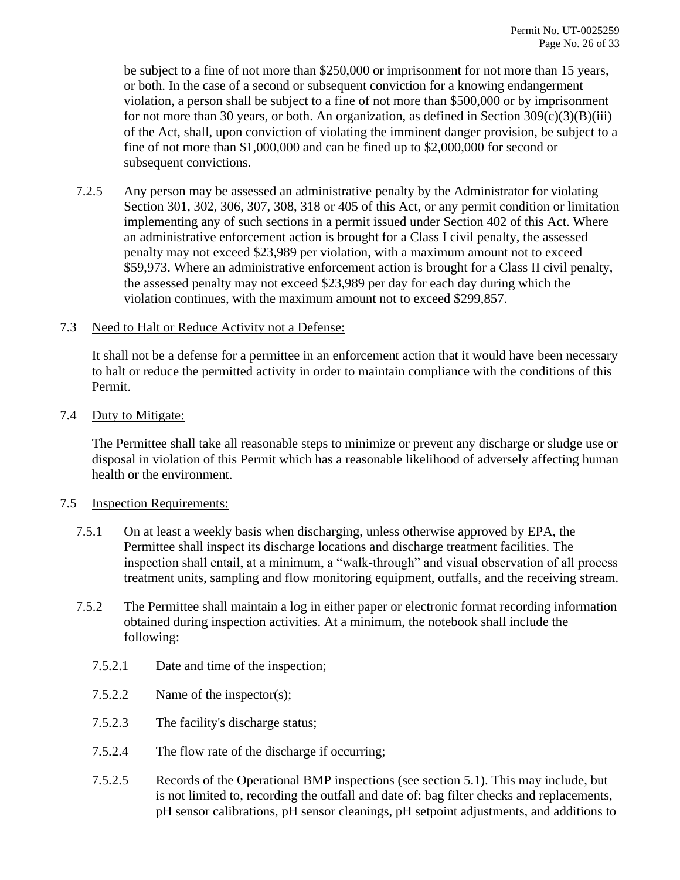be subject to a fine of not more than \$250,000 or imprisonment for not more than 15 years, or both. In the case of a second or subsequent conviction for a knowing endangerment violation, a person shall be subject to a fine of not more than \$500,000 or by imprisonment for not more than 30 years, or both. An organization, as defined in Section  $309(c)(3)(B)(iii)$ of the Act, shall, upon conviction of violating the imminent danger provision, be subject to a fine of not more than \$1,000,000 and can be fined up to \$2,000,000 for second or subsequent convictions.

7.2.5 Any person may be assessed an administrative penalty by the Administrator for violating Section 301, 302, 306, 307, 308, 318 or 405 of this Act, or any permit condition or limitation implementing any of such sections in a permit issued under Section 402 of this Act. Where an administrative enforcement action is brought for a Class I civil penalty, the assessed penalty may not exceed \$23,989 per violation, with a maximum amount not to exceed \$59,973. Where an administrative enforcement action is brought for a Class II civil penalty, the assessed penalty may not exceed \$23,989 per day for each day during which the violation continues, with the maximum amount not to exceed \$299,857.

### <span id="page-25-0"></span>7.3 Need to Halt or Reduce Activity not a Defense:

It shall not be a defense for a permittee in an enforcement action that it would have been necessary to halt or reduce the permitted activity in order to maintain compliance with the conditions of this Permit.

### <span id="page-25-1"></span>7.4 Duty to Mitigate:

The Permittee shall take all reasonable steps to minimize or prevent any discharge or sludge use or disposal in violation of this Permit which has a reasonable likelihood of adversely affecting human health or the environment.

# <span id="page-25-2"></span>7.5 Inspection Requirements:

- 7.5.1 On at least a weekly basis when discharging, unless otherwise approved by EPA, the Permittee shall inspect its discharge locations and discharge treatment facilities. The inspection shall entail, at a minimum, a "walk-through" and visual observation of all process treatment units, sampling and flow monitoring equipment, outfalls, and the receiving stream.
- 7.5.2 The Permittee shall maintain a log in either paper or electronic format recording information obtained during inspection activities. At a minimum, the notebook shall include the following:
	- 7.5.2.1 Date and time of the inspection;
	- 7.5.2.2 Name of the inspector(s);
	- 7.5.2.3 The facility's discharge status;
	- 7.5.2.4 The flow rate of the discharge if occurring;
	- 7.5.2.5 Records of the Operational BMP inspections (see section [5.1\)](#page-10-1). This may include, but is not limited to, recording the outfall and date of: bag filter checks and replacements, pH sensor calibrations, pH sensor cleanings, pH setpoint adjustments, and additions to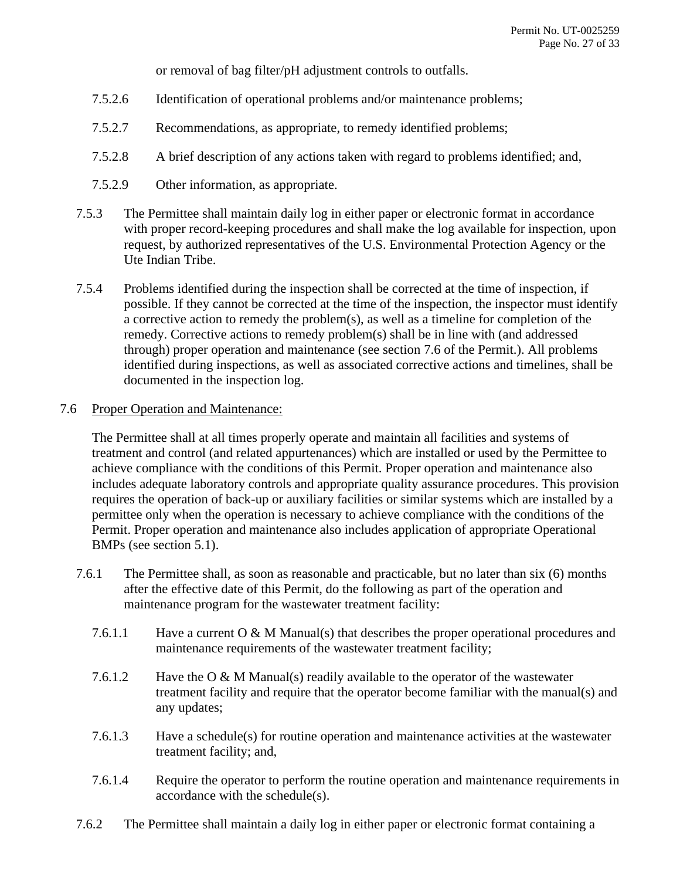or removal of bag filter/pH adjustment controls to outfalls.

- 7.5.2.6 Identification of operational problems and/or maintenance problems;
- 7.5.2.7 Recommendations, as appropriate, to remedy identified problems;
- 7.5.2.8 A brief description of any actions taken with regard to problems identified; and,
- 7.5.2.9 Other information, as appropriate.
- 7.5.3 The Permittee shall maintain daily log in either paper or electronic format in accordance with proper record-keeping procedures and shall make the log available for inspection, upon request, by authorized representatives of the U.S. Environmental Protection Agency or the Ute Indian Tribe.
- 7.5.4 Problems identified during the inspection shall be corrected at the time of inspection, if possible. If they cannot be corrected at the time of the inspection, the inspector must identify a corrective action to remedy the problem(s), as well as a timeline for completion of the remedy. Corrective actions to remedy problem(s) shall be in line with (and addressed through) proper operation and maintenance (see section [7.6](#page-26-0) of the Permit.). All problems identified during inspections, as well as associated corrective actions and timelines, shall be documented in the inspection log.

# <span id="page-26-0"></span>7.6 Proper Operation and Maintenance:

The Permittee shall at all times properly operate and maintain all facilities and systems of treatment and control (and related appurtenances) which are installed or used by the Permittee to achieve compliance with the conditions of this Permit. Proper operation and maintenance also includes adequate laboratory controls and appropriate quality assurance procedures. This provision requires the operation of back-up or auxiliary facilities or similar systems which are installed by a permittee only when the operation is necessary to achieve compliance with the conditions of the Permit. Proper operation and maintenance also includes application of appropriate Operational BMPs (see section [5.1\)](#page-10-1).

- 7.6.1 The Permittee shall, as soon as reasonable and practicable, but no later than six (6) months after the effective date of this Permit, do the following as part of the operation and maintenance program for the wastewater treatment facility:
	- 7.6.1.1 Have a current O & M Manual(s) that describes the proper operational procedures and maintenance requirements of the wastewater treatment facility;
	- 7.6.1.2 Have the O & M Manual(s) readily available to the operator of the wastewater treatment facility and require that the operator become familiar with the manual(s) and any updates;
	- 7.6.1.3 Have a schedule(s) for routine operation and maintenance activities at the wastewater treatment facility; and,
	- 7.6.1.4 Require the operator to perform the routine operation and maintenance requirements in accordance with the schedule(s).
- 7.6.2 The Permittee shall maintain a daily log in either paper or electronic format containing a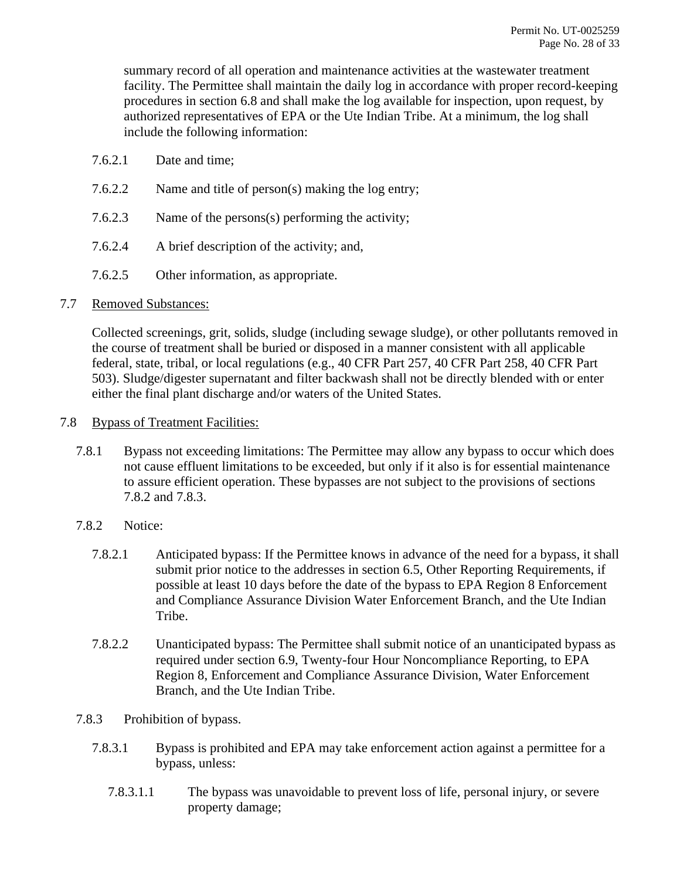summary record of all operation and maintenance activities at the wastewater treatment facility. The Permittee shall maintain the daily log in accordance with proper record-keeping procedures in section [6.8](#page-22-1) and shall make the log available for inspection, upon request, by authorized representatives of EPA or the Ute Indian Tribe. At a minimum, the log shall include the following information:

- 7.6.2.1 Date and time;
- 7.6.2.2 Name and title of person(s) making the log entry;
- 7.6.2.3 Name of the persons(s) performing the activity;
- 7.6.2.4 A brief description of the activity; and,
- 7.6.2.5 Other information, as appropriate.

### <span id="page-27-0"></span>7.7 Removed Substances:

Collected screenings, grit, solids, sludge (including sewage sludge), or other pollutants removed in the course of treatment shall be buried or disposed in a manner consistent with all applicable federal, state, tribal, or local regulations (e.g., 40 CFR Part 257, 40 CFR Part 258, 40 CFR Part 503). Sludge/digester supernatant and filter backwash shall not be directly blended with or enter either the final plant discharge and/or waters of the United States.

- <span id="page-27-4"></span><span id="page-27-3"></span><span id="page-27-2"></span><span id="page-27-1"></span>7.8 Bypass of Treatment Facilities:
	- 7.8.1 Bypass not exceeding limitations: The Permittee may allow any bypass to occur which does not cause effluent limitations to be exceeded, but only if it also is for essential maintenance to assure efficient operation. These bypasses are not subject to the provisions of sections [7.8.2](#page-27-2) and [7.8.3.](#page-27-3)
	- 7.8.2 Notice:
		- 7.8.2.1 Anticipated bypass: If the Permittee knows in advance of the need for a bypass, it shall submit prior notice to the addresses in section [6.5,](#page-21-0) Other Reporting Requirements, if possible at least 10 days before the date of the bypass to EPA Region 8 Enforcement and Compliance Assurance Division Water Enforcement Branch, and the Ute Indian Tribe.
		- 7.8.2.2 Unanticipated bypass: The Permittee shall submit notice of an unanticipated bypass as required under section [6.9,](#page-22-2) Twenty-four Hour Noncompliance Reporting, to EPA Region 8, Enforcement and Compliance Assurance Division, Water Enforcement Branch, and the Ute Indian Tribe.
	- 7.8.3 Prohibition of bypass.
		- 7.8.3.1 Bypass is prohibited and EPA may take enforcement action against a permittee for a bypass, unless:
			- 7.8.3.1.1 The bypass was unavoidable to prevent loss of life, personal injury, or severe property damage;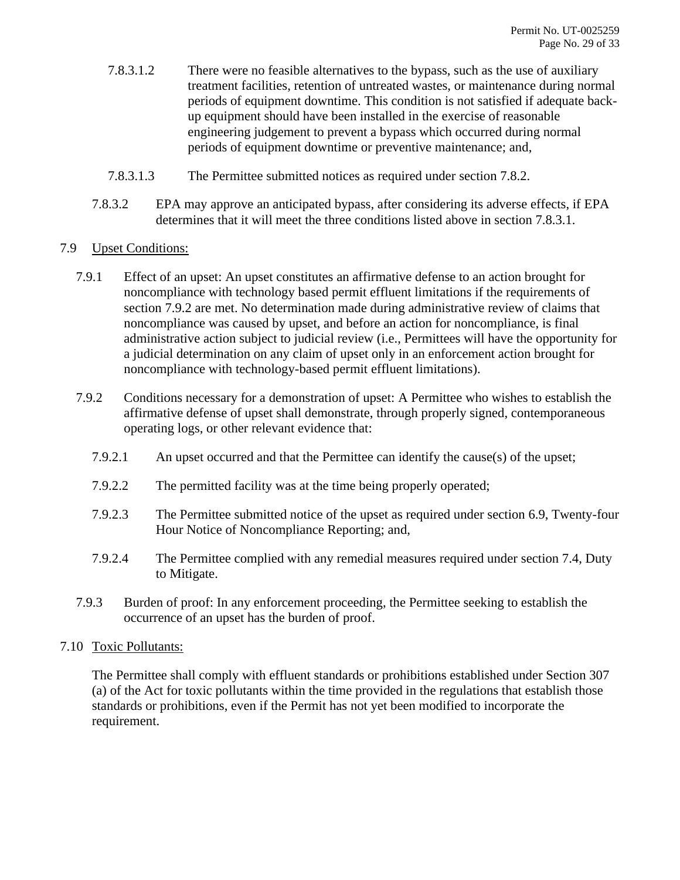- 7.8.3.1.2 There were no feasible alternatives to the bypass, such as the use of auxiliary treatment facilities, retention of untreated wastes, or maintenance during normal periods of equipment downtime. This condition is not satisfied if adequate backup equipment should have been installed in the exercise of reasonable engineering judgement to prevent a bypass which occurred during normal periods of equipment downtime or preventive maintenance; and,
- 7.8.3.1.3 The Permittee submitted notices as required under section [7.8.2.](#page-27-2)
- 7.8.3.2 EPA may approve an anticipated bypass, after considering its adverse effects, if EPA determines that it will meet the three conditions listed above in section [7.8.3.1.](#page-27-4)

# <span id="page-28-0"></span>7.9 Upset Conditions:

- 7.9.1 Effect of an upset: An upset constitutes an affirmative defense to an action brought for noncompliance with technology based permit effluent limitations if the requirements of section [7.9.2](#page-28-2) are met. No determination made during administrative review of claims that noncompliance was caused by upset, and before an action for noncompliance, is final administrative action subject to judicial review (i.e., Permittees will have the opportunity for a judicial determination on any claim of upset only in an enforcement action brought for noncompliance with technology-based permit effluent limitations).
- <span id="page-28-2"></span>7.9.2 Conditions necessary for a demonstration of upset: A Permittee who wishes to establish the affirmative defense of upset shall demonstrate, through properly signed, contemporaneous operating logs, or other relevant evidence that:
	- 7.9.2.1 An upset occurred and that the Permittee can identify the cause(s) of the upset;
	- 7.9.2.2 The permitted facility was at the time being properly operated;
	- 7.9.2.3 The Permittee submitted notice of the upset as required under section [6.9,](#page-22-2) Twenty-four Hour Notice of Noncompliance Reporting; and,
	- 7.9.2.4 The Permittee complied with any remedial measures required under section [7.4,](#page-25-1) Duty to Mitigate.
- 7.9.3 Burden of proof: In any enforcement proceeding, the Permittee seeking to establish the occurrence of an upset has the burden of proof.

# <span id="page-28-1"></span>7.10 Toxic Pollutants:

The Permittee shall comply with effluent standards or prohibitions established under Section 307 (a) of the Act for toxic pollutants within the time provided in the regulations that establish those standards or prohibitions, even if the Permit has not yet been modified to incorporate the requirement.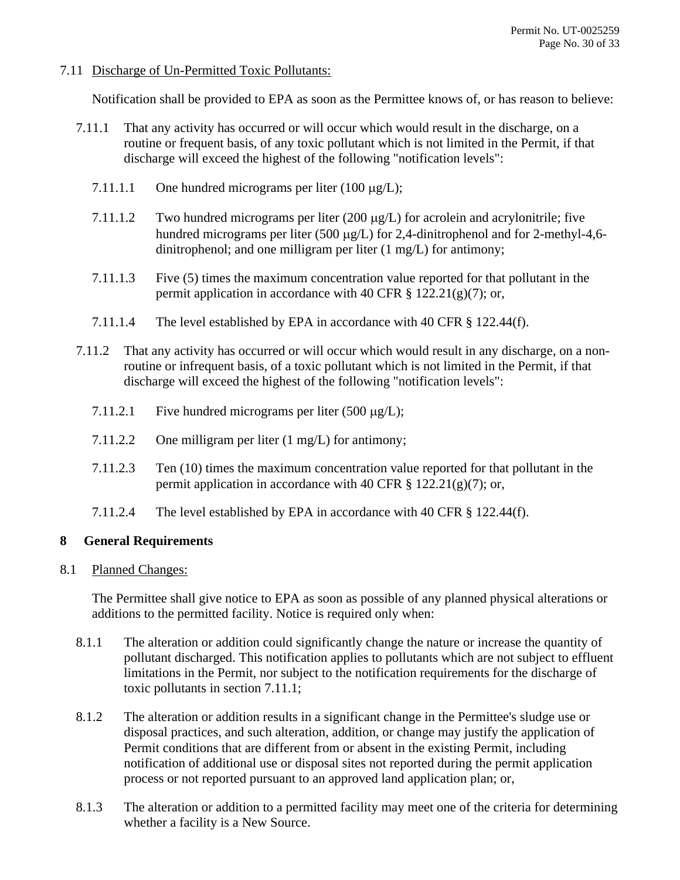### <span id="page-29-0"></span>7.11 Discharge of Un-Permitted Toxic Pollutants:

Notification shall be provided to EPA as soon as the Permittee knows of, or has reason to believe:

- <span id="page-29-3"></span>7.11.1 That any activity has occurred or will occur which would result in the discharge, on a routine or frequent basis, of any toxic pollutant which is not limited in the Permit, if that discharge will exceed the highest of the following "notification levels":
	- 7.11.1.1 One hundred micrograms per liter  $(100 \mu g/L)$ ;
	- 7.11.1.2 Two hundred micrograms per liter (200  $\mu$ g/L) for acrolein and acrylonitrile; five hundred micrograms per liter (500  $\mu$ g/L) for 2,4-dinitrophenol and for 2-methyl-4,6dinitrophenol; and one milligram per liter (1 mg/L) for antimony;
	- 7.11.1.3 Five (5) times the maximum concentration value reported for that pollutant in the permit application in accordance with 40 CFR  $\S$  122.21(g)(7); or,
	- 7.11.1.4 The level established by EPA in accordance with 40 CFR § 122.44(f).
- 7.11.2 That any activity has occurred or will occur which would result in any discharge, on a nonroutine or infrequent basis, of a toxic pollutant which is not limited in the Permit, if that discharge will exceed the highest of the following "notification levels":
	- 7.11.2.1 Five hundred micrograms per liter  $(500 \mu g/L)$ ;
	- 7.11.2.2 One milligram per liter (1 mg/L) for antimony;
	- 7.11.2.3 Ten (10) times the maximum concentration value reported for that pollutant in the permit application in accordance with 40 CFR  $\S$  122.21(g)(7); or,
	- 7.11.2.4 The level established by EPA in accordance with 40 CFR § 122.44(f).

# <span id="page-29-1"></span>**8 General Requirements**

<span id="page-29-2"></span>8.1 Planned Changes:

The Permittee shall give notice to EPA as soon as possible of any planned physical alterations or additions to the permitted facility. Notice is required only when:

- 8.1.1 The alteration or addition could significantly change the nature or increase the quantity of pollutant discharged. This notification applies to pollutants which are not subject to effluent limitations in the Permit, nor subject to the notification requirements for the discharge of toxic pollutants in section [7.11.1;](#page-29-3)
- 8.1.2 The alteration or addition results in a significant change in the Permittee's sludge use or disposal practices, and such alteration, addition, or change may justify the application of Permit conditions that are different from or absent in the existing Permit, including notification of additional use or disposal sites not reported during the permit application process or not reported pursuant to an approved land application plan; or,
- 8.1.3 The alteration or addition to a permitted facility may meet one of the criteria for determining whether a facility is a New Source.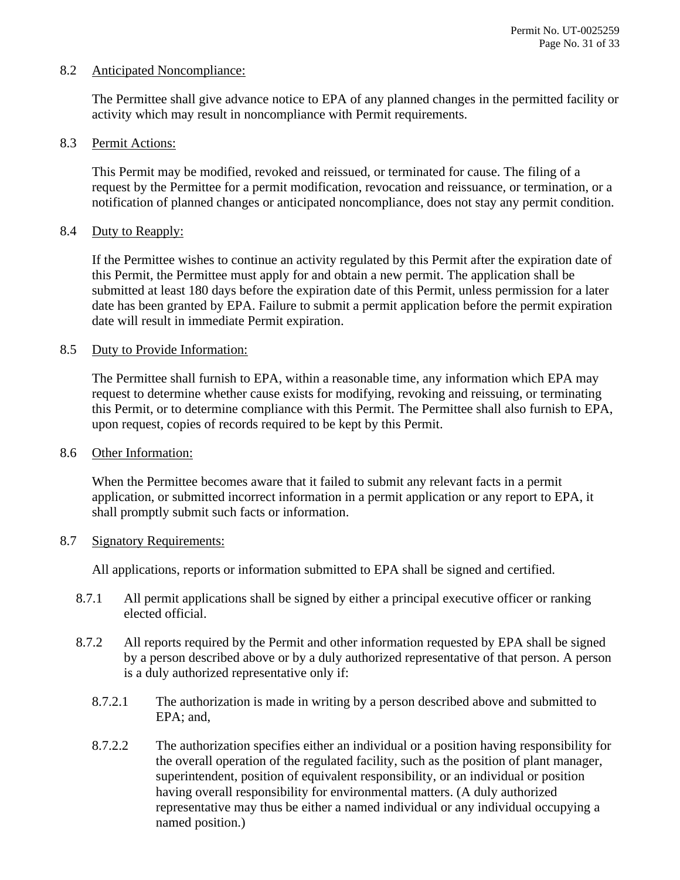### <span id="page-30-0"></span>8.2 Anticipated Noncompliance:

The Permittee shall give advance notice to EPA of any planned changes in the permitted facility or activity which may result in noncompliance with Permit requirements.

#### <span id="page-30-1"></span>8.3 Permit Actions:

This Permit may be modified, revoked and reissued, or terminated for cause. The filing of a request by the Permittee for a permit modification, revocation and reissuance, or termination, or a notification of planned changes or anticipated noncompliance, does not stay any permit condition.

### <span id="page-30-2"></span>8.4 Duty to Reapply:

If the Permittee wishes to continue an activity regulated by this Permit after the expiration date of this Permit, the Permittee must apply for and obtain a new permit. The application shall be submitted at least 180 days before the expiration date of this Permit, unless permission for a later date has been granted by EPA. Failure to submit a permit application before the permit expiration date will result in immediate Permit expiration.

### <span id="page-30-3"></span>8.5 Duty to Provide Information:

The Permittee shall furnish to EPA, within a reasonable time, any information which EPA may request to determine whether cause exists for modifying, revoking and reissuing, or terminating this Permit, or to determine compliance with this Permit. The Permittee shall also furnish to EPA, upon request, copies of records required to be kept by this Permit.

#### <span id="page-30-4"></span>8.6 Other Information:

When the Permittee becomes aware that it failed to submit any relevant facts in a permit application, or submitted incorrect information in a permit application or any report to EPA, it shall promptly submit such facts or information.

#### <span id="page-30-5"></span>8.7 Signatory Requirements:

All applications, reports or information submitted to EPA shall be signed and certified.

- 8.7.1 All permit applications shall be signed by either a principal executive officer or ranking elected official.
- <span id="page-30-6"></span>8.7.2 All reports required by the Permit and other information requested by EPA shall be signed by a person described above or by a duly authorized representative of that person. A person is a duly authorized representative only if:
	- 8.7.2.1 The authorization is made in writing by a person described above and submitted to EPA; and,
	- 8.7.2.2 The authorization specifies either an individual or a position having responsibility for the overall operation of the regulated facility, such as the position of plant manager, superintendent, position of equivalent responsibility, or an individual or position having overall responsibility for environmental matters. (A duly authorized representative may thus be either a named individual or any individual occupying a named position.)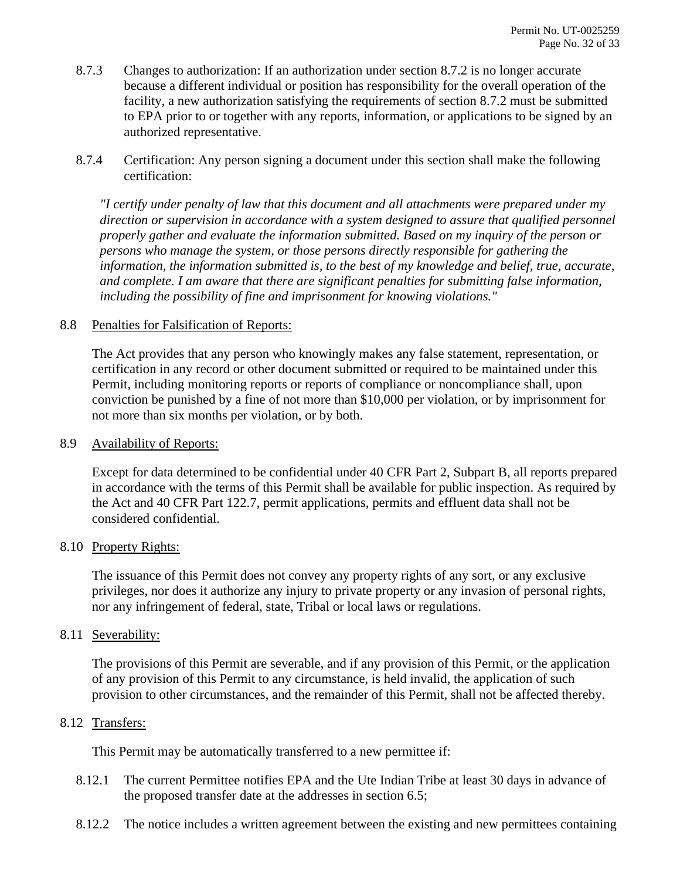- 8.7.3 Changes to authorization: If an authorization under section [8.7.2](#page-30-6) is no longer accurate because a different individual or position has responsibility for the overall operation of the facility, a new authorization satisfying the requirements of section [8.7.2](#page-30-6) must be submitted to EPA prior to or together with any reports, information, or applications to be signed by an authorized representative.
- 8.7.4 Certification: Any person signing a document under this section shall make the following certification:

*"I certify under penalty of law that this document and all attachments were prepared under my direction or supervision in accordance with a system designed to assure that qualified personnel properly gather and evaluate the information submitted. Based on my inquiry of the person or persons who manage the system, or those persons directly responsible for gathering the information, the information submitted is, to the best of my knowledge and belief, true, accurate, and complete. I am aware that there are significant penalties for submitting false information, including the possibility of fine and imprisonment for knowing violations."*

### <span id="page-31-0"></span>8.8 Penalties for Falsification of Reports:

The Act provides that any person who knowingly makes any false statement, representation, or certification in any record or other document submitted or required to be maintained under this Permit, including monitoring reports or reports of compliance or noncompliance shall, upon conviction be punished by a fine of not more than \$10,000 per violation, or by imprisonment for not more than six months per violation, or by both.

#### <span id="page-31-1"></span>8.9 Availability of Reports:

Except for data determined to be confidential under 40 CFR Part 2, Subpart B, all reports prepared in accordance with the terms of this Permit shall be available for public inspection. As required by the Act and 40 CFR Part 122.7, permit applications, permits and effluent data shall not be considered confidential.

#### <span id="page-31-2"></span>8.10 Property Rights:

The issuance of this Permit does not convey any property rights of any sort, or any exclusive privileges, nor does it authorize any injury to private property or any invasion of personal rights, nor any infringement of federal, state, Tribal or local laws or regulations.

#### <span id="page-31-3"></span>8.11 Severability:

The provisions of this Permit are severable, and if any provision of this Permit, or the application of any provision of this Permit to any circumstance, is held invalid, the application of such provision to other circumstances, and the remainder of this Permit, shall not be affected thereby.

# <span id="page-31-4"></span>8.12 Transfers:

This Permit may be automatically transferred to a new permittee if:

- 8.12.1 The current Permittee notifies EPA and the Ute Indian Tribe at least 30 days in advance of the proposed transfer date at the addresses in section [6.5;](#page-21-0)
- <span id="page-31-5"></span>8.12.2 The notice includes a written agreement between the existing and new permittees containing